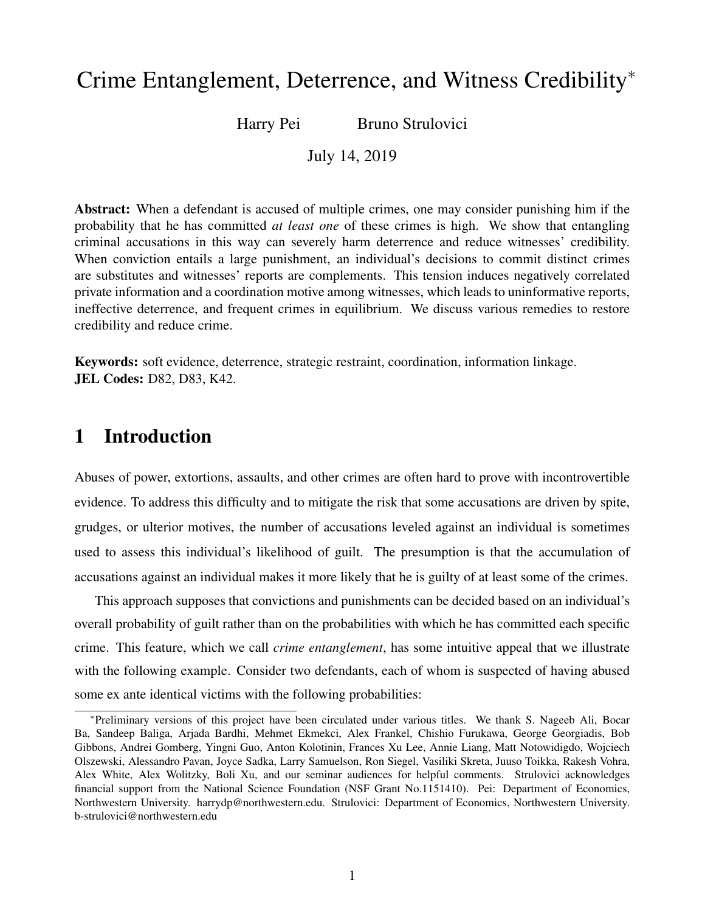# Crime Entanglement, Deterrence, and Witness Credibility<sup>∗</sup>

Harry Pei Bruno Strulovici

July 14, 2019

Abstract: When a defendant is accused of multiple crimes, one may consider punishing him if the probability that he has committed *at least one* of these crimes is high. We show that entangling criminal accusations in this way can severely harm deterrence and reduce witnesses' credibility. When conviction entails a large punishment, an individual's decisions to commit distinct crimes are substitutes and witnesses' reports are complements. This tension induces negatively correlated private information and a coordination motive among witnesses, which leads to uninformative reports, ineffective deterrence, and frequent crimes in equilibrium. We discuss various remedies to restore credibility and reduce crime.

Keywords: soft evidence, deterrence, strategic restraint, coordination, information linkage. JEL Codes: D82, D83, K42.

# 1 Introduction

Abuses of power, extortions, assaults, and other crimes are often hard to prove with incontrovertible evidence. To address this difficulty and to mitigate the risk that some accusations are driven by spite, grudges, or ulterior motives, the number of accusations leveled against an individual is sometimes used to assess this individual's likelihood of guilt. The presumption is that the accumulation of accusations against an individual makes it more likely that he is guilty of at least some of the crimes.

This approach supposes that convictions and punishments can be decided based on an individual's overall probability of guilt rather than on the probabilities with which he has committed each specific crime. This feature, which we call *crime entanglement*, has some intuitive appeal that we illustrate with the following example. Consider two defendants, each of whom is suspected of having abused some ex ante identical victims with the following probabilities:

<sup>∗</sup>Preliminary versions of this project have been circulated under various titles. We thank S. Nageeb Ali, Bocar Ba, Sandeep Baliga, Arjada Bardhi, Mehmet Ekmekci, Alex Frankel, Chishio Furukawa, George Georgiadis, Bob Gibbons, Andrei Gomberg, Yingni Guo, Anton Kolotinin, Frances Xu Lee, Annie Liang, Matt Notowidigdo, Wojciech Olszewski, Alessandro Pavan, Joyce Sadka, Larry Samuelson, Ron Siegel, Vasiliki Skreta, Juuso Toikka, Rakesh Vohra, Alex White, Alex Wolitzky, Boli Xu, and our seminar audiences for helpful comments. Strulovici acknowledges financial support from the National Science Foundation (NSF Grant No.1151410). Pei: Department of Economics, Northwestern University. harrydp@northwestern.edu. Strulovici: Department of Economics, Northwestern University. b-strulovici@northwestern.edu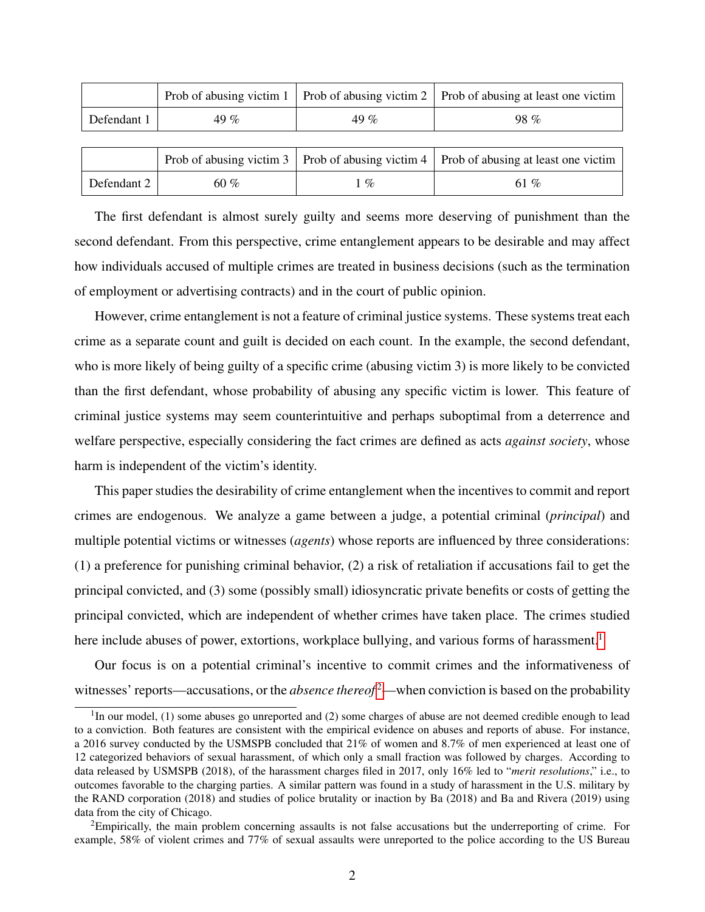|             |      |      | Prob of abusing victim 1   Prob of abusing victim 2   Prob of abusing at least one victim |
|-------------|------|------|-------------------------------------------------------------------------------------------|
| Defendant 1 | 49 % | 49 % | $98\%$                                                                                    |
|             |      |      |                                                                                           |
|             |      |      | Prob of abusing victim 3   Prob of abusing victim 4   Prob of abusing at least one victim |
| Defendant 2 | 60 % | $\%$ | 61 %                                                                                      |

The first defendant is almost surely guilty and seems more deserving of punishment than the second defendant. From this perspective, crime entanglement appears to be desirable and may affect how individuals accused of multiple crimes are treated in business decisions (such as the termination of employment or advertising contracts) and in the court of public opinion.

However, crime entanglement is not a feature of criminal justice systems. These systems treat each crime as a separate count and guilt is decided on each count. In the example, the second defendant, who is more likely of being guilty of a specific crime (abusing victim 3) is more likely to be convicted than the first defendant, whose probability of abusing any specific victim is lower. This feature of criminal justice systems may seem counterintuitive and perhaps suboptimal from a deterrence and welfare perspective, especially considering the fact crimes are defined as acts *against society*, whose harm is independent of the victim's identity.

This paper studies the desirability of crime entanglement when the incentives to commit and report crimes are endogenous. We analyze a game between a judge, a potential criminal (*principal*) and multiple potential victims or witnesses (*agents*) whose reports are influenced by three considerations: (1) a preference for punishing criminal behavior, (2) a risk of retaliation if accusations fail to get the principal convicted, and (3) some (possibly small) idiosyncratic private benefits or costs of getting the principal convicted, which are independent of whether crimes have taken place. The crimes studied here include abuses of power, extortions, workplace bullying, and various forms of harassment.<sup>[1](#page-1-0)</sup>

Our focus is on a potential criminal's incentive to commit crimes and the informativeness of witnesses' reports—accusations, or the *absence thereof* <sup>[2](#page-1-1)</sup>—when conviction is based on the probability

<span id="page-1-0"></span> $1$ In our model, (1) some abuses go unreported and (2) some charges of abuse are not deemed credible enough to lead to a conviction. Both features are consistent with the empirical evidence on abuses and reports of abuse. For instance, a 2016 survey conducted by the USMSPB concluded that 21% of women and 8.7% of men experienced at least one of 12 categorized behaviors of sexual harassment, of which only a small fraction was followed by charges. According to data released by USMSPB (2018), of the harassment charges filed in 2017, only 16% led to "*merit resolutions*," i.e., to outcomes favorable to the charging parties. A similar pattern was found in a study of harassment in the U.S. military by the RAND corporation (2018) and studies of police brutality or inaction by Ba (2018) and Ba and Rivera (2019) using data from the city of Chicago.

<span id="page-1-1"></span><sup>2</sup>Empirically, the main problem concerning assaults is not false accusations but the underreporting of crime. For example, 58% of violent crimes and 77% of sexual assaults were unreported to the police according to the US Bureau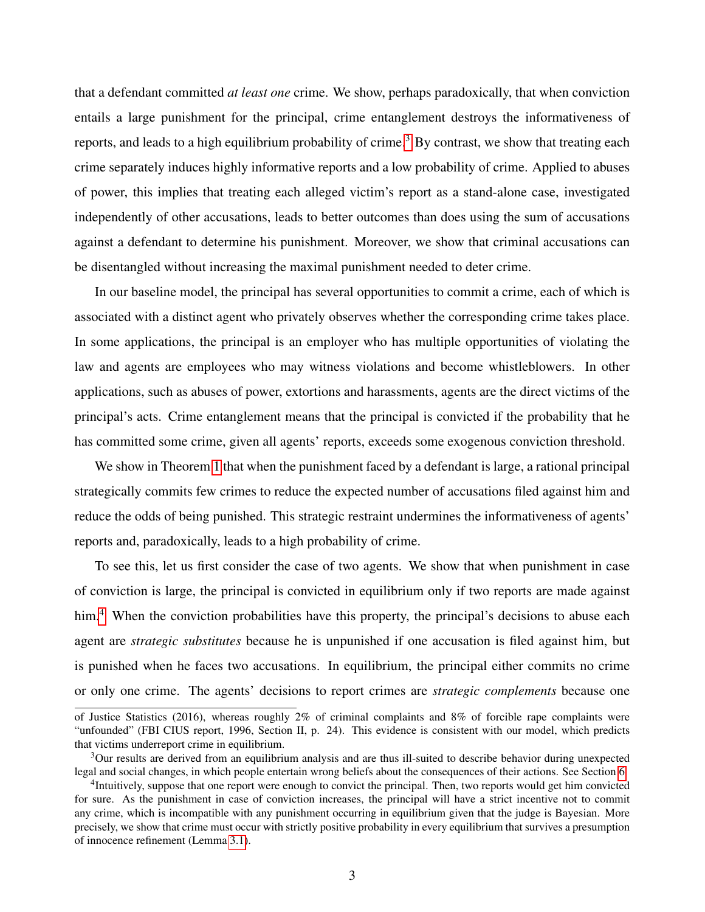that a defendant committed *at least one* crime. We show, perhaps paradoxically, that when conviction entails a large punishment for the principal, crime entanglement destroys the informativeness of reports, and leads to a high equilibrium probability of crime.<sup>[3](#page-2-0)</sup> By contrast, we show that treating each crime separately induces highly informative reports and a low probability of crime. Applied to abuses of power, this implies that treating each alleged victim's report as a stand-alone case, investigated independently of other accusations, leads to better outcomes than does using the sum of accusations against a defendant to determine his punishment. Moreover, we show that criminal accusations can be disentangled without increasing the maximal punishment needed to deter crime.

In our baseline model, the principal has several opportunities to commit a crime, each of which is associated with a distinct agent who privately observes whether the corresponding crime takes place. In some applications, the principal is an employer who has multiple opportunities of violating the law and agents are employees who may witness violations and become whistleblowers. In other applications, such as abuses of power, extortions and harassments, agents are the direct victims of the principal's acts. Crime entanglement means that the principal is convicted if the probability that he has committed some crime, given all agents' reports, exceeds some exogenous conviction threshold.

We show in Theorem [1](#page-14-0) that when the punishment faced by a defendant is large, a rational principal strategically commits few crimes to reduce the expected number of accusations filed against him and reduce the odds of being punished. This strategic restraint undermines the informativeness of agents' reports and, paradoxically, leads to a high probability of crime.

To see this, let us first consider the case of two agents. We show that when punishment in case of conviction is large, the principal is convicted in equilibrium only if two reports are made against him.<sup>[4](#page-2-1)</sup> When the conviction probabilities have this property, the principal's decisions to abuse each agent are *strategic substitutes* because he is unpunished if one accusation is filed against him, but is punished when he faces two accusations. In equilibrium, the principal either commits no crime or only one crime. The agents' decisions to report crimes are *strategic complements* because one

of Justice Statistics (2016), whereas roughly 2% of criminal complaints and 8% of forcible rape complaints were "unfounded" (FBI CIUS report, 1996, Section II, p. 24). This evidence is consistent with our model, which predicts that victims underreport crime in equilibrium.

<span id="page-2-0"></span><sup>3</sup>Our results are derived from an equilibrium analysis and are thus ill-suited to describe behavior during unexpected legal and social changes, in which people entertain wrong beliefs about the consequences of their actions. See Section [6.](#page-31-0)

<span id="page-2-1"></span><sup>&</sup>lt;sup>4</sup>Intuitively, suppose that one report were enough to convict the principal. Then, two reports would get him convicted for sure. As the punishment in case of conviction increases, the principal will have a strict incentive not to commit any crime, which is incompatible with any punishment occurring in equilibrium given that the judge is Bayesian. More precisely, we show that crime must occur with strictly positive probability in every equilibrium that survives a presumption of innocence refinement (Lemma [3.1\)](#page-12-0).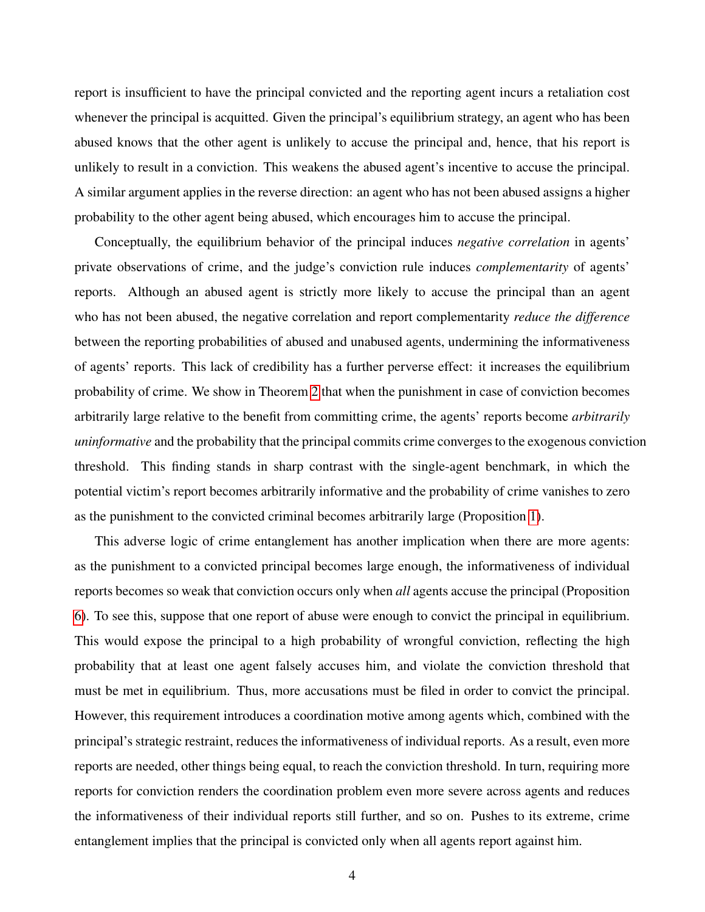report is insufficient to have the principal convicted and the reporting agent incurs a retaliation cost whenever the principal is acquitted. Given the principal's equilibrium strategy, an agent who has been abused knows that the other agent is unlikely to accuse the principal and, hence, that his report is unlikely to result in a conviction. This weakens the abused agent's incentive to accuse the principal. A similar argument applies in the reverse direction: an agent who has not been abused assigns a higher probability to the other agent being abused, which encourages him to accuse the principal.

Conceptually, the equilibrium behavior of the principal induces *negative correlation* in agents' private observations of crime, and the judge's conviction rule induces *complementarity* of agents' reports. Although an abused agent is strictly more likely to accuse the principal than an agent who has not been abused, the negative correlation and report complementarity *reduce the difference* between the reporting probabilities of abused and unabused agents, undermining the informativeness of agents' reports. This lack of credibility has a further perverse effect: it increases the equilibrium probability of crime. We show in Theorem [2](#page-15-0) that when the punishment in case of conviction becomes arbitrarily large relative to the benefit from committing crime, the agents' reports become *arbitrarily uninformative* and the probability that the principal commits crime converges to the exogenous conviction threshold. This finding stands in sharp contrast with the single-agent benchmark, in which the potential victim's report becomes arbitrarily informative and the probability of crime vanishes to zero as the punishment to the convicted criminal becomes arbitrarily large (Proposition [1\)](#page-13-0).

This adverse logic of crime entanglement has another implication when there are more agents: as the punishment to a convicted principal becomes large enough, the informativeness of individual reports becomes so weak that conviction occurs only when *all* agents accuse the principal (Proposition [6\)](#page-25-0). To see this, suppose that one report of abuse were enough to convict the principal in equilibrium. This would expose the principal to a high probability of wrongful conviction, reflecting the high probability that at least one agent falsely accuses him, and violate the conviction threshold that must be met in equilibrium. Thus, more accusations must be filed in order to convict the principal. However, this requirement introduces a coordination motive among agents which, combined with the principal's strategic restraint, reduces the informativeness of individual reports. As a result, even more reports are needed, other things being equal, to reach the conviction threshold. In turn, requiring more reports for conviction renders the coordination problem even more severe across agents and reduces the informativeness of their individual reports still further, and so on. Pushes to its extreme, crime entanglement implies that the principal is convicted only when all agents report against him.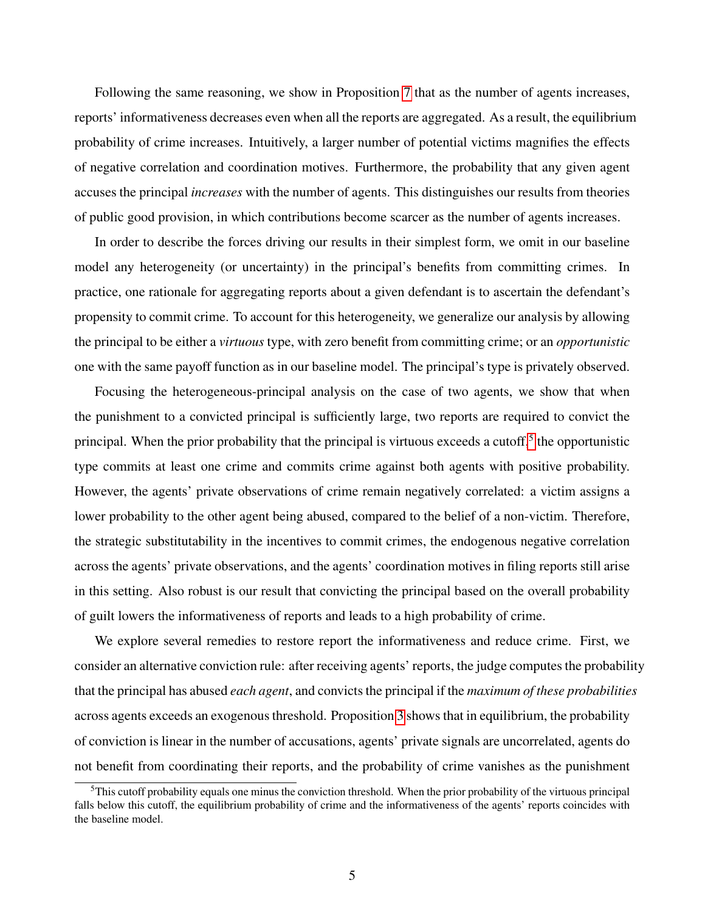Following the same reasoning, we show in Proposition [7](#page-26-0) that as the number of agents increases, reports' informativeness decreases even when all the reports are aggregated. As a result, the equilibrium probability of crime increases. Intuitively, a larger number of potential victims magnifies the effects of negative correlation and coordination motives. Furthermore, the probability that any given agent accuses the principal *increases* with the number of agents. This distinguishes our results from theories of public good provision, in which contributions become scarcer as the number of agents increases.

In order to describe the forces driving our results in their simplest form, we omit in our baseline model any heterogeneity (or uncertainty) in the principal's benefits from committing crimes. In practice, one rationale for aggregating reports about a given defendant is to ascertain the defendant's propensity to commit crime. To account for this heterogeneity, we generalize our analysis by allowing the principal to be either a *virtuous* type, with zero benefit from committing crime; or an *opportunistic* one with the same payoff function as in our baseline model. The principal's type is privately observed.

Focusing the heterogeneous-principal analysis on the case of two agents, we show that when the punishment to a convicted principal is sufficiently large, two reports are required to convict the principal. When the prior probability that the principal is virtuous exceeds a cutoff,<sup>[5](#page-4-0)</sup> the opportunistic type commits at least one crime and commits crime against both agents with positive probability. However, the agents' private observations of crime remain negatively correlated: a victim assigns a lower probability to the other agent being abused, compared to the belief of a non-victim. Therefore, the strategic substitutability in the incentives to commit crimes, the endogenous negative correlation across the agents' private observations, and the agents' coordination motives in filing reports still arise in this setting. Also robust is our result that convicting the principal based on the overall probability of guilt lowers the informativeness of reports and leads to a high probability of crime.

We explore several remedies to restore report the informativeness and reduce crime. First, we consider an alternative conviction rule: after receiving agents' reports, the judge computes the probability that the principal has abused *each agent*, and convicts the principal if the *maximum of these probabilities* across agents exceeds an exogenous threshold. Proposition [3](#page-20-0) shows that in equilibrium, the probability of conviction is linear in the number of accusations, agents' private signals are uncorrelated, agents do not benefit from coordinating their reports, and the probability of crime vanishes as the punishment

<span id="page-4-0"></span><sup>&</sup>lt;sup>5</sup>This cutoff probability equals one minus the conviction threshold. When the prior probability of the virtuous principal falls below this cutoff, the equilibrium probability of crime and the informativeness of the agents' reports coincides with the baseline model.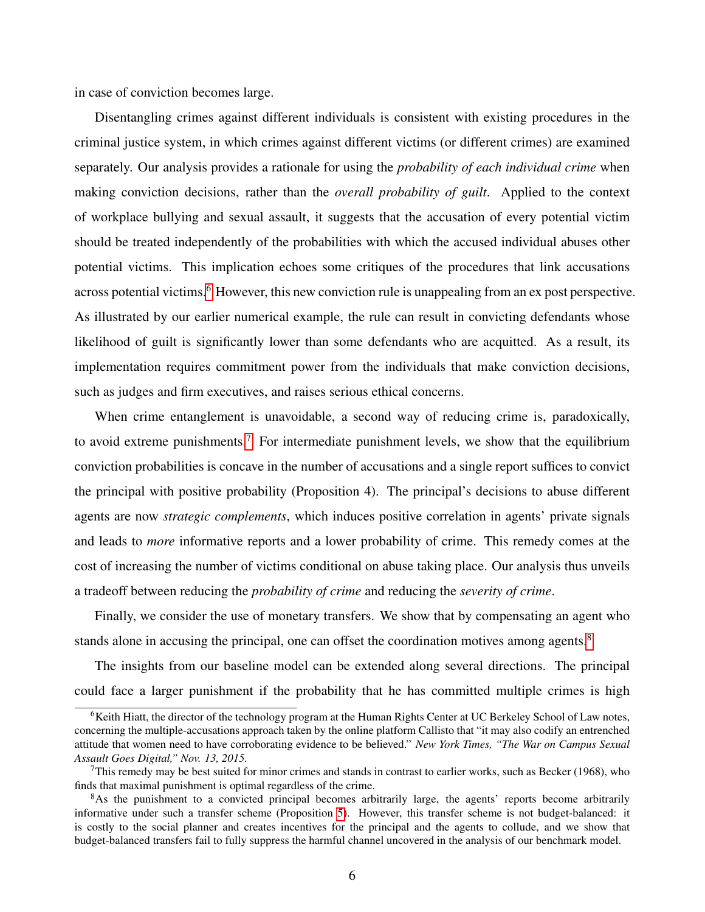in case of conviction becomes large.

Disentangling crimes against different individuals is consistent with existing procedures in the criminal justice system, in which crimes against different victims (or different crimes) are examined separately. Our analysis provides a rationale for using the *probability of each individual crime* when making conviction decisions, rather than the *overall probability of guilt*. Applied to the context of workplace bullying and sexual assault, it suggests that the accusation of every potential victim should be treated independently of the probabilities with which the accused individual abuses other potential victims. This implication echoes some critiques of the procedures that link accusations across potential victims.<sup>[6](#page-5-0)</sup> However, this new conviction rule is unappealing from an ex post perspective. As illustrated by our earlier numerical example, the rule can result in convicting defendants whose likelihood of guilt is significantly lower than some defendants who are acquitted. As a result, its implementation requires commitment power from the individuals that make conviction decisions, such as judges and firm executives, and raises serious ethical concerns.

When crime entanglement is unavoidable, a second way of reducing crime is, paradoxically, to avoid extreme punishments.<sup>[7](#page-5-1)</sup> For intermediate punishment levels, we show that the equilibrium conviction probabilities is concave in the number of accusations and a single report suffices to convict the principal with positive probability (Proposition 4). The principal's decisions to abuse different agents are now *strategic complements*, which induces positive correlation in agents' private signals and leads to *more* informative reports and a lower probability of crime. This remedy comes at the cost of increasing the number of victims conditional on abuse taking place. Our analysis thus unveils a tradeoff between reducing the *probability of crime* and reducing the *severity of crime*.

Finally, we consider the use of monetary transfers. We show that by compensating an agent who stands alone in accusing the principal, one can offset the coordination motives among agents.<sup>[8](#page-5-2)</sup>

The insights from our baseline model can be extended along several directions. The principal could face a larger punishment if the probability that he has committed multiple crimes is high

<span id="page-5-0"></span> $6$ Keith Hiatt, the director of the technology program at the Human Rights Center at UC Berkeley School of Law notes, concerning the multiple-accusations approach taken by the online platform Callisto that "it may also codify an entrenched attitude that women need to have corroborating evidence to be believed." *New York Times, "The War on Campus Sexual Assault Goes Digital," Nov. 13, 2015.*

<span id="page-5-1"></span> $7$ This remedy may be best suited for minor crimes and stands in contrast to earlier works, such as Becker (1968), who finds that maximal punishment is optimal regardless of the crime.

<span id="page-5-2"></span><sup>&</sup>lt;sup>8</sup>As the punishment to a convicted principal becomes arbitrarily large, the agents' reports become arbitrarily informative under such a transfer scheme (Proposition [5\)](#page-23-0). However, this transfer scheme is not budget-balanced: it is costly to the social planner and creates incentives for the principal and the agents to collude, and we show that budget-balanced transfers fail to fully suppress the harmful channel uncovered in the analysis of our benchmark model.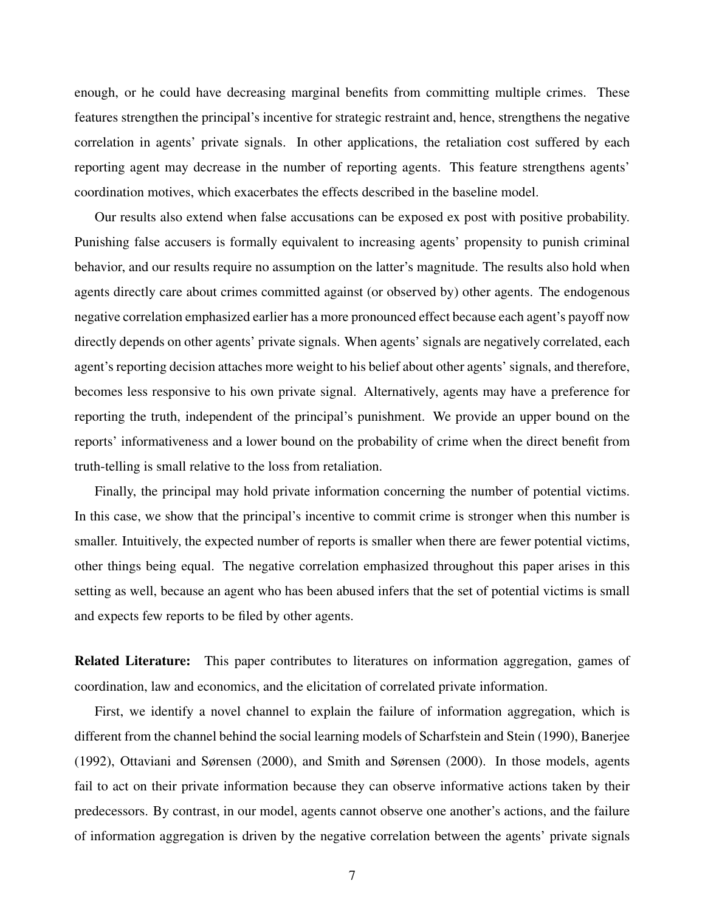enough, or he could have decreasing marginal benefits from committing multiple crimes. These features strengthen the principal's incentive for strategic restraint and, hence, strengthens the negative correlation in agents' private signals. In other applications, the retaliation cost suffered by each reporting agent may decrease in the number of reporting agents. This feature strengthens agents' coordination motives, which exacerbates the effects described in the baseline model.

Our results also extend when false accusations can be exposed ex post with positive probability. Punishing false accusers is formally equivalent to increasing agents' propensity to punish criminal behavior, and our results require no assumption on the latter's magnitude. The results also hold when agents directly care about crimes committed against (or observed by) other agents. The endogenous negative correlation emphasized earlier has a more pronounced effect because each agent's payoff now directly depends on other agents' private signals. When agents' signals are negatively correlated, each agent's reporting decision attaches more weight to his belief about other agents' signals, and therefore, becomes less responsive to his own private signal. Alternatively, agents may have a preference for reporting the truth, independent of the principal's punishment. We provide an upper bound on the reports' informativeness and a lower bound on the probability of crime when the direct benefit from truth-telling is small relative to the loss from retaliation.

Finally, the principal may hold private information concerning the number of potential victims. In this case, we show that the principal's incentive to commit crime is stronger when this number is smaller. Intuitively, the expected number of reports is smaller when there are fewer potential victims, other things being equal. The negative correlation emphasized throughout this paper arises in this setting as well, because an agent who has been abused infers that the set of potential victims is small and expects few reports to be filed by other agents.

**Related Literature:** This paper contributes to literatures on information aggregation, games of coordination, law and economics, and the elicitation of correlated private information.

First, we identify a novel channel to explain the failure of information aggregation, which is different from the channel behind the social learning models of Scharfstein and Stein (1990), Banerjee (1992), Ottaviani and Sørensen (2000), and Smith and Sørensen (2000). In those models, agents fail to act on their private information because they can observe informative actions taken by their predecessors. By contrast, in our model, agents cannot observe one another's actions, and the failure of information aggregation is driven by the negative correlation between the agents' private signals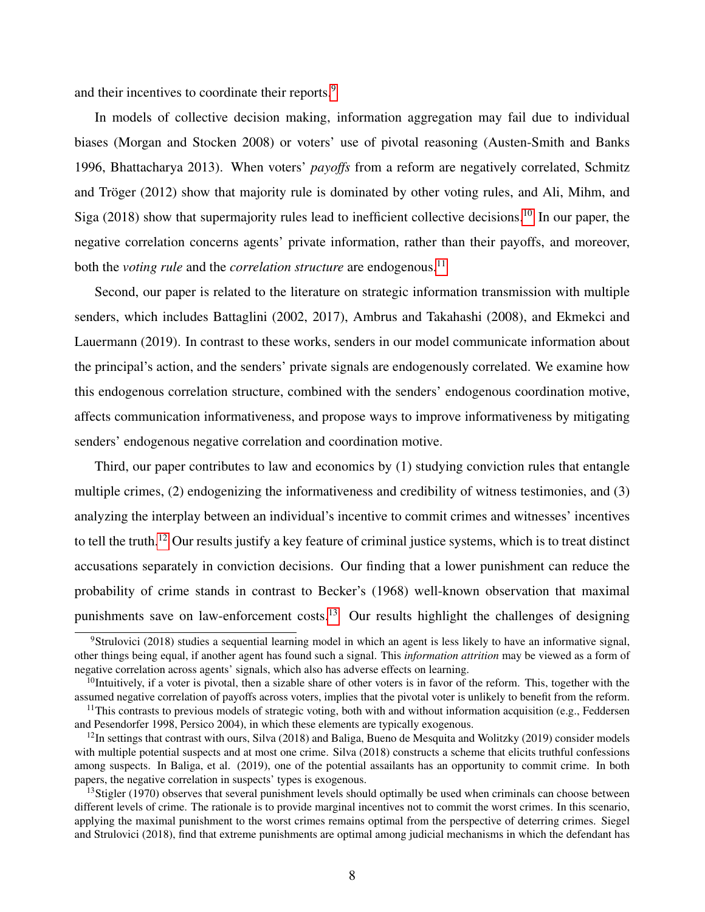and their incentives to coordinate their reports.<sup>[9](#page-7-0)</sup>

In models of collective decision making, information aggregation may fail due to individual biases (Morgan and Stocken 2008) or voters' use of pivotal reasoning (Austen-Smith and Banks 1996, Bhattacharya 2013). When voters' *payoffs* from a reform are negatively correlated, Schmitz and Tröger  $(2012)$  show that majority rule is dominated by other voting rules, and Ali, Mihm, and Siga (2018) show that supermajority rules lead to inefficient collective decisions.<sup>[10](#page-7-1)</sup> In our paper, the negative correlation concerns agents' private information, rather than their payoffs, and moreover, both the *voting rule* and the *correlation structure* are endogenous.<sup>[11](#page-7-2)</sup>

Second, our paper is related to the literature on strategic information transmission with multiple senders, which includes Battaglini (2002, 2017), Ambrus and Takahashi (2008), and Ekmekci and Lauermann (2019). In contrast to these works, senders in our model communicate information about the principal's action, and the senders' private signals are endogenously correlated. We examine how this endogenous correlation structure, combined with the senders' endogenous coordination motive, affects communication informativeness, and propose ways to improve informativeness by mitigating senders' endogenous negative correlation and coordination motive.

Third, our paper contributes to law and economics by (1) studying conviction rules that entangle multiple crimes, (2) endogenizing the informativeness and credibility of witness testimonies, and (3) analyzing the interplay between an individual's incentive to commit crimes and witnesses' incentives to tell the truth.[12](#page-7-3) Our results justify a key feature of criminal justice systems, which is to treat distinct accusations separately in conviction decisions. Our finding that a lower punishment can reduce the probability of crime stands in contrast to Becker's (1968) well-known observation that maximal punishments save on law-enforcement costs.<sup>[13](#page-7-4)</sup> Our results highlight the challenges of designing

<span id="page-7-0"></span><sup>9</sup>Strulovici (2018) studies a sequential learning model in which an agent is less likely to have an informative signal, other things being equal, if another agent has found such a signal. This *information attrition* may be viewed as a form of negative correlation across agents' signals, which also has adverse effects on learning.

<span id="page-7-1"></span> $10$ Intuitively, if a voter is pivotal, then a sizable share of other voters is in favor of the reform. This, together with the assumed negative correlation of payoffs across voters, implies that the pivotal voter is unlikely to benefit from the reform.

<span id="page-7-2"></span><sup>&</sup>lt;sup>11</sup>This contrasts to previous models of strategic voting, both with and without information acquisition (e.g., Feddersen and Pesendorfer 1998, Persico 2004), in which these elements are typically exogenous.

<span id="page-7-3"></span> $12$ In settings that contrast with ours, Silva (2018) and Baliga, Bueno de Mesquita and Wolitzky (2019) consider models with multiple potential suspects and at most one crime. Silva (2018) constructs a scheme that elicits truthful confessions among suspects. In Baliga, et al. (2019), one of the potential assailants has an opportunity to commit crime. In both papers, the negative correlation in suspects' types is exogenous.

<span id="page-7-4"></span> $13$ Stigler (1970) observes that several punishment levels should optimally be used when criminals can choose between different levels of crime. The rationale is to provide marginal incentives not to commit the worst crimes. In this scenario, applying the maximal punishment to the worst crimes remains optimal from the perspective of deterring crimes. Siegel and Strulovici (2018), find that extreme punishments are optimal among judicial mechanisms in which the defendant has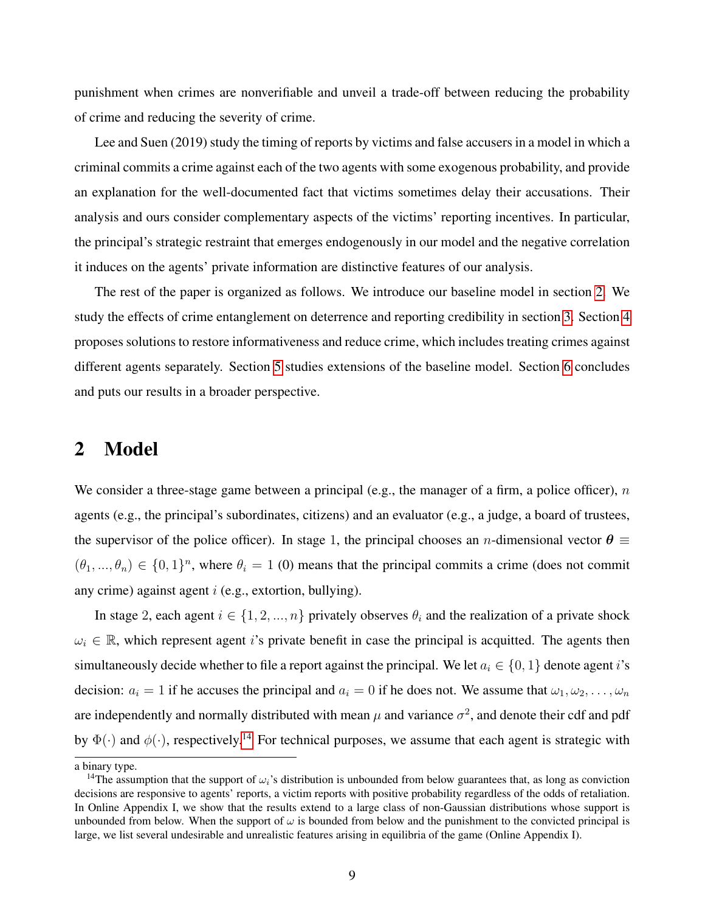punishment when crimes are nonverifiable and unveil a trade-off between reducing the probability of crime and reducing the severity of crime.

Lee and Suen (2019) study the timing of reports by victims and false accusers in a model in which a criminal commits a crime against each of the two agents with some exogenous probability, and provide an explanation for the well-documented fact that victims sometimes delay their accusations. Their analysis and ours consider complementary aspects of the victims' reporting incentives. In particular, the principal's strategic restraint that emerges endogenously in our model and the negative correlation it induces on the agents' private information are distinctive features of our analysis.

The rest of the paper is organized as follows. We introduce our baseline model in section [2.](#page-8-0) We study the effects of crime entanglement on deterrence and reporting credibility in section [3.](#page-11-0) Section [4](#page-19-0) proposes solutions to restore informativeness and reduce crime, which includes treating crimes against different agents separately. Section [5](#page-24-0) studies extensions of the baseline model. Section [6](#page-31-0) concludes and puts our results in a broader perspective.

## <span id="page-8-0"></span>2 Model

We consider a three-stage game between a principal (e.g., the manager of a firm, a police officer),  $n$ agents (e.g., the principal's subordinates, citizens) and an evaluator (e.g., a judge, a board of trustees, the supervisor of the police officer). In stage 1, the principal chooses an *n*-dimensional vector  $\theta \equiv$  $(\theta_1, ..., \theta_n) \in \{0, 1\}^n$ , where  $\theta_i = 1$  (0) means that the principal commits a crime (does not commit any crime) against agent i (e.g., extortion, bullying).

In stage 2, each agent  $i \in \{1, 2, ..., n\}$  privately observes  $\theta_i$  and the realization of a private shock  $\omega_i \in \mathbb{R}$ , which represent agent is private benefit in case the principal is acquitted. The agents then simultaneously decide whether to file a report against the principal. We let  $a_i \in \{0, 1\}$  denote agent i's decision:  $a_i = 1$  if he accuses the principal and  $a_i = 0$  if he does not. We assume that  $\omega_1, \omega_2, \dots, \omega_n$ are independently and normally distributed with mean  $\mu$  and variance  $\sigma^2$ , and denote their cdf and pdf by  $\Phi(\cdot)$  and  $\phi(\cdot)$ , respectively.<sup>[14](#page-8-1)</sup> For technical purposes, we assume that each agent is strategic with

a binary type.

<span id="page-8-1"></span><sup>&</sup>lt;sup>14</sup>The assumption that the support of  $\omega_i$ 's distribution is unbounded from below guarantees that, as long as conviction decisions are responsive to agents' reports, a victim reports with positive probability regardless of the odds of retaliation. In Online Appendix I, we show that the results extend to a large class of non-Gaussian distributions whose support is unbounded from below. When the support of  $\omega$  is bounded from below and the punishment to the convicted principal is large, we list several undesirable and unrealistic features arising in equilibria of the game (Online Appendix I).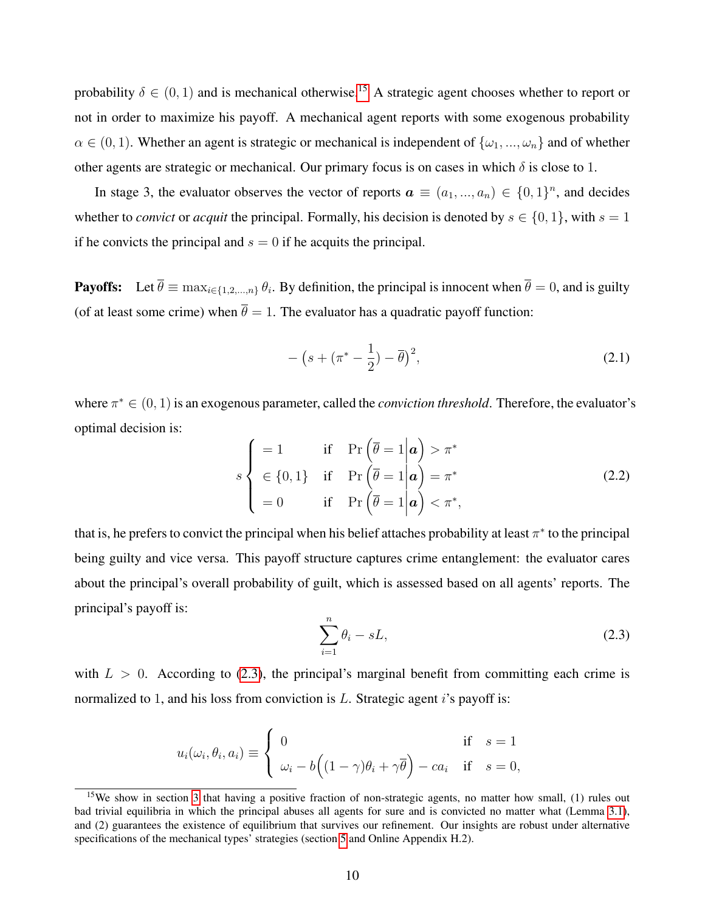probability  $\delta \in (0, 1)$  and is mechanical otherwise.<sup>[15](#page-9-0)</sup> A strategic agent chooses whether to report or not in order to maximize his payoff. A mechanical agent reports with some exogenous probability  $\alpha \in (0,1)$ . Whether an agent is strategic or mechanical is independent of  $\{\omega_1, ..., \omega_n\}$  and of whether other agents are strategic or mechanical. Our primary focus is on cases in which  $\delta$  is close to 1.

In stage 3, the evaluator observes the vector of reports  $a \equiv (a_1, ..., a_n) \in \{0, 1\}^n$ , and decides whether to *convict* or *acquit* the principal. Formally, his decision is denoted by  $s \in \{0, 1\}$ , with  $s = 1$ if he convicts the principal and  $s = 0$  if he acquits the principal.

**Payoffs:** Let  $\theta \equiv \max_{i \in \{1, 2, ..., n\}} \theta_i$ . By definition, the principal is innocent when  $\theta = 0$ , and is guilty (of at least some crime) when  $\bar{\theta} = 1$ . The evaluator has a quadratic payoff function:

$$
-\left(s+(\pi^*-\frac{1}{2})-\overline{\theta}\right)^2,\tag{2.1}
$$

where  $\pi^* \in (0, 1)$  is an exogenous parameter, called the *conviction threshold*. Therefore, the evaluator's optimal decision is:  $\sqrt{2}$ 

<span id="page-9-2"></span>
$$
s \begin{cases}\n= 1 & \text{if } \Pr\left(\overline{\theta} = 1 \middle| \mathbf{a}\right) > \pi^* \\
\in \{0, 1\} & \text{if } \Pr\left(\overline{\theta} = 1 \middle| \mathbf{a}\right) = \pi^* \\
= 0 & \text{if } \Pr\left(\overline{\theta} = 1 \middle| \mathbf{a}\right) < \pi^*,\n\end{cases}
$$
\n(2.2)

that is, he prefers to convict the principal when his belief attaches probability at least  $\pi^*$  to the principal being guilty and vice versa. This payoff structure captures crime entanglement: the evaluator cares about the principal's overall probability of guilt, which is assessed based on all agents' reports. The principal's payoff is:

<span id="page-9-1"></span>
$$
\sum_{i=1}^{n} \theta_i - sL,\tag{2.3}
$$

with  $L > 0$ . According to [\(2.3\)](#page-9-1), the principal's marginal benefit from committing each crime is normalized to 1, and his loss from conviction is  $L$ . Strategic agent is payoff is:

$$
u_i(\omega_i, \theta_i, a_i) \equiv \begin{cases} 0 & \text{if } s = 1 \\ \omega_i - b((1 - \gamma)\theta_i + \gamma\overline{\theta}) - ca_i & \text{if } s = 0, \end{cases}
$$

<span id="page-9-0"></span><sup>&</sup>lt;sup>15</sup>We show in section [3](#page-11-0) that having a positive fraction of non-strategic agents, no matter how small, (1) rules out bad trivial equilibria in which the principal abuses all agents for sure and is convicted no matter what (Lemma [3.1\)](#page-12-0), and (2) guarantees the existence of equilibrium that survives our refinement. Our insights are robust under alternative specifications of the mechanical types' strategies (section [5](#page-24-0) and Online Appendix H.2).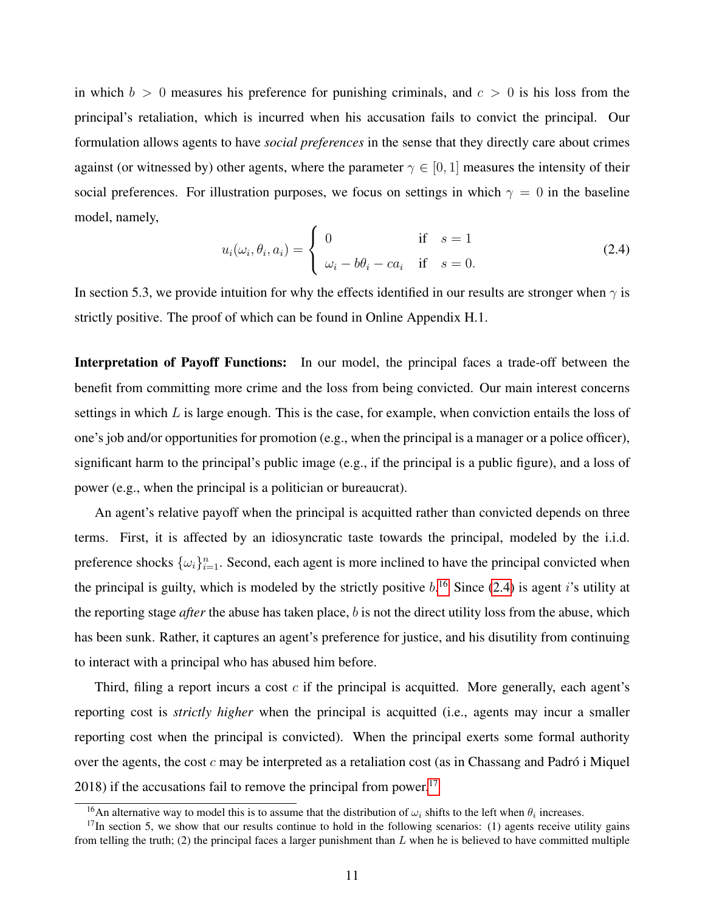in which  $b > 0$  measures his preference for punishing criminals, and  $c > 0$  is his loss from the principal's retaliation, which is incurred when his accusation fails to convict the principal. Our formulation allows agents to have *social preferences* in the sense that they directly care about crimes against (or witnessed by) other agents, where the parameter  $\gamma \in [0, 1]$  measures the intensity of their social preferences. For illustration purposes, we focus on settings in which  $\gamma = 0$  in the baseline model, namely,

<span id="page-10-1"></span>
$$
u_i(\omega_i, \theta_i, a_i) = \begin{cases} 0 & \text{if } s = 1 \\ \omega_i - b\theta_i - ca_i & \text{if } s = 0. \end{cases}
$$
 (2.4)

In section 5.3, we provide intuition for why the effects identified in our results are stronger when  $\gamma$  is strictly positive. The proof of which can be found in Online Appendix H.1.

Interpretation of Payoff Functions: In our model, the principal faces a trade-off between the benefit from committing more crime and the loss from being convicted. Our main interest concerns settings in which  $L$  is large enough. This is the case, for example, when conviction entails the loss of one's job and/or opportunities for promotion (e.g., when the principal is a manager or a police officer), significant harm to the principal's public image (e.g., if the principal is a public figure), and a loss of power (e.g., when the principal is a politician or bureaucrat).

An agent's relative payoff when the principal is acquitted rather than convicted depends on three terms. First, it is affected by an idiosyncratic taste towards the principal, modeled by the i.i.d. preference shocks  $\{\omega_i\}_{i=1}^n$ . Second, each agent is more inclined to have the principal convicted when the principal is guilty, which is modeled by the strictly positive  $b$ .<sup>[16](#page-10-0)</sup> Since [\(2.4\)](#page-10-1) is agent *i*'s utility at the reporting stage *after* the abuse has taken place, b is not the direct utility loss from the abuse, which has been sunk. Rather, it captures an agent's preference for justice, and his disutility from continuing to interact with a principal who has abused him before.

Third, filing a report incurs a cost  $c$  if the principal is acquitted. More generally, each agent's reporting cost is *strictly higher* when the principal is acquitted (i.e., agents may incur a smaller reporting cost when the principal is convicted). When the principal exerts some formal authority over the agents, the cost  $c$  may be interpreted as a retaliation cost (as in Chassang and Padró i Miquel 2018) if the accusations fail to remove the principal from power.<sup>[17](#page-10-2)</sup>

<span id="page-10-2"></span><span id="page-10-0"></span><sup>&</sup>lt;sup>16</sup>An alternative way to model this is to assume that the distribution of  $\omega_i$  shifts to the left when  $\theta_i$  increases.

 $17$ In section 5, we show that our results continue to hold in the following scenarios: (1) agents receive utility gains from telling the truth; (2) the principal faces a larger punishment than  $L$  when he is believed to have committed multiple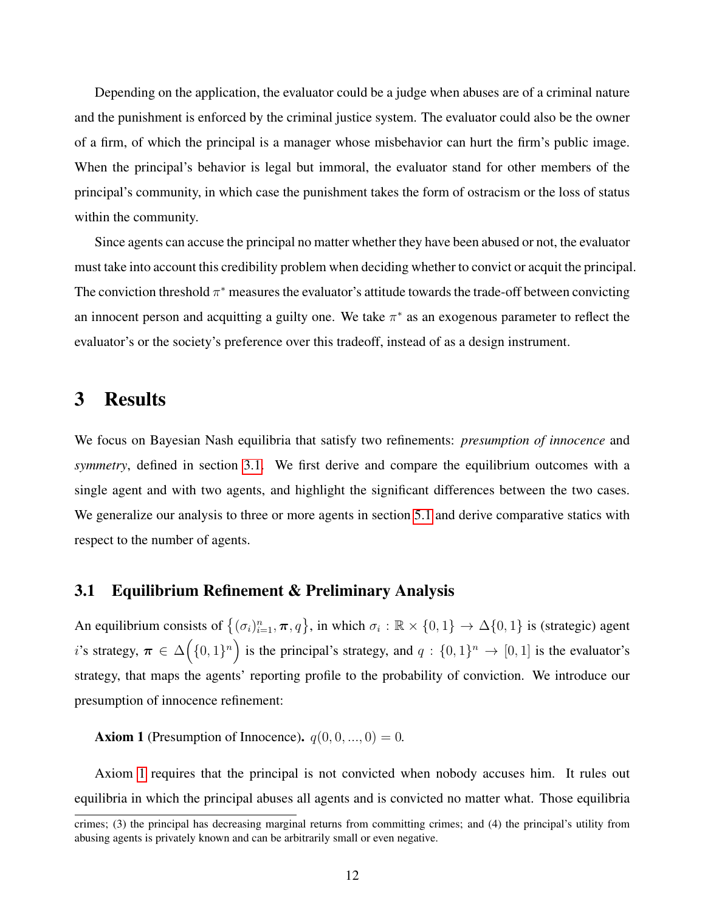Depending on the application, the evaluator could be a judge when abuses are of a criminal nature and the punishment is enforced by the criminal justice system. The evaluator could also be the owner of a firm, of which the principal is a manager whose misbehavior can hurt the firm's public image. When the principal's behavior is legal but immoral, the evaluator stand for other members of the principal's community, in which case the punishment takes the form of ostracism or the loss of status within the community.

Since agents can accuse the principal no matter whether they have been abused or not, the evaluator must take into account this credibility problem when deciding whether to convict or acquit the principal. The conviction threshold  $\pi^*$  measures the evaluator's attitude towards the trade-off between convicting an innocent person and acquitting a guilty one. We take  $\pi^*$  as an exogenous parameter to reflect the evaluator's or the society's preference over this tradeoff, instead of as a design instrument.

# <span id="page-11-0"></span>3 Results

We focus on Bayesian Nash equilibria that satisfy two refinements: *presumption of innocence* and *symmetry*, defined in section [3.1.](#page-11-1) We first derive and compare the equilibrium outcomes with a single agent and with two agents, and highlight the significant differences between the two cases. We generalize our analysis to three or more agents in section [5.1](#page-25-1) and derive comparative statics with respect to the number of agents.

#### <span id="page-11-1"></span>3.1 Equilibrium Refinement & Preliminary Analysis

An equilibrium consists of  $\{(\sigma_i)_{i=1}^n, \pi, q\}$ , in which  $\sigma_i : \mathbb{R} \times \{0, 1\} \to \Delta\{0, 1\}$  is (strategic) agent i's strategy,  $\pi \in \Delta(\{0,1\}^n)$  is the principal's strategy, and  $q: \{0,1\}^n \to [0,1]$  is the evaluator's strategy, that maps the agents' reporting profile to the probability of conviction. We introduce our presumption of innocence refinement:

<span id="page-11-2"></span>**Axiom 1** (Presumption of Innocence).  $q(0, 0, ..., 0) = 0$ .

Axiom [1](#page-11-2) requires that the principal is not convicted when nobody accuses him. It rules out equilibria in which the principal abuses all agents and is convicted no matter what. Those equilibria

crimes; (3) the principal has decreasing marginal returns from committing crimes; and (4) the principal's utility from abusing agents is privately known and can be arbitrarily small or even negative.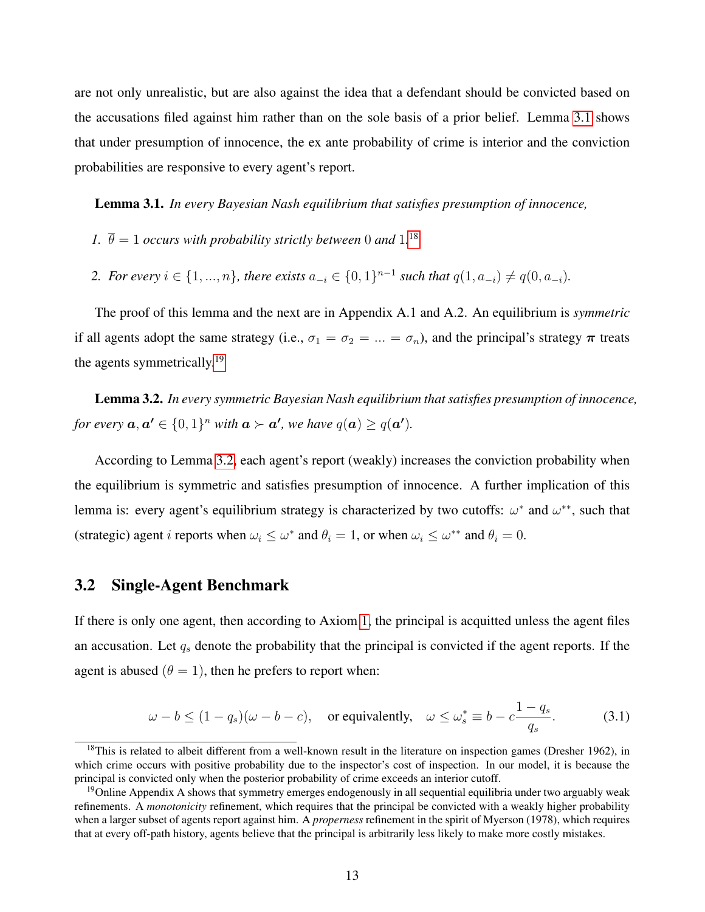are not only unrealistic, but are also against the idea that a defendant should be convicted based on the accusations filed against him rather than on the sole basis of a prior belief. Lemma [3.1](#page-12-0) shows that under presumption of innocence, the ex ante probability of crime is interior and the conviction probabilities are responsive to every agent's report.

<span id="page-12-0"></span>Lemma 3.1. *In every Bayesian Nash equilibrium that satisfies presumption of innocence,*

- *1.*  $\bar{\theta} = 1$  *occurs with probability strictly between* 0 *and* 1.<sup>[18](#page-12-1)</sup>
- 2. For every  $i \in \{1, ..., n\}$ , there exists  $a_{-i} \in \{0, 1\}^{n-1}$  such that  $q(1, a_{-i}) \neq q(0, a_{-i})$ *.*

The proof of this lemma and the next are in Appendix A.1 and A.2. An equilibrium is *symmetric* if all agents adopt the same strategy (i.e.,  $\sigma_1 = \sigma_2 = ... = \sigma_n$ ), and the principal's strategy  $\pi$  treats the agents symmetrically.<sup>[19](#page-12-2)</sup>

<span id="page-12-3"></span>Lemma 3.2. *In every symmetric Bayesian Nash equilibrium that satisfies presumption of innocence, for every*  $a, a' \in \{0, 1\}^n$  *with*  $a \succ a'$ *, we have*  $q(a) \geq q(a')$ *.* 

According to Lemma [3.2,](#page-12-3) each agent's report (weakly) increases the conviction probability when the equilibrium is symmetric and satisfies presumption of innocence. A further implication of this lemma is: every agent's equilibrium strategy is characterized by two cutoffs:  $\omega^*$  and  $\omega^{**}$ , such that (strategic) agent *i* reports when  $\omega_i \leq \omega^*$  and  $\theta_i = 1$ , or when  $\omega_i \leq \omega^{**}$  and  $\theta_i = 0$ .

### <span id="page-12-5"></span>3.2 Single-Agent Benchmark

If there is only one agent, then according to Axiom [1,](#page-11-2) the principal is acquitted unless the agent files an accusation. Let  $q_s$  denote the probability that the principal is convicted if the agent reports. If the agent is abused  $(\theta = 1)$ , then he prefers to report when:

<span id="page-12-4"></span>
$$
\omega - b \le (1 - q_s)(\omega - b - c), \quad \text{or equivalently,} \quad \omega \le \omega_s^* \equiv b - c \frac{1 - q_s}{q_s}.\tag{3.1}
$$

<span id="page-12-1"></span><sup>&</sup>lt;sup>18</sup>This is related to albeit different from a well-known result in the literature on inspection games (Dresher 1962), in which crime occurs with positive probability due to the inspector's cost of inspection. In our model, it is because the principal is convicted only when the posterior probability of crime exceeds an interior cutoff.

<span id="page-12-2"></span><sup>&</sup>lt;sup>19</sup>Online Appendix A shows that symmetry emerges endogenously in all sequential equilibria under two arguably weak refinements. A *monotonicity* refinement, which requires that the principal be convicted with a weakly higher probability when a larger subset of agents report against him. A *properness* refinement in the spirit of Myerson (1978), which requires that at every off-path history, agents believe that the principal is arbitrarily less likely to make more costly mistakes.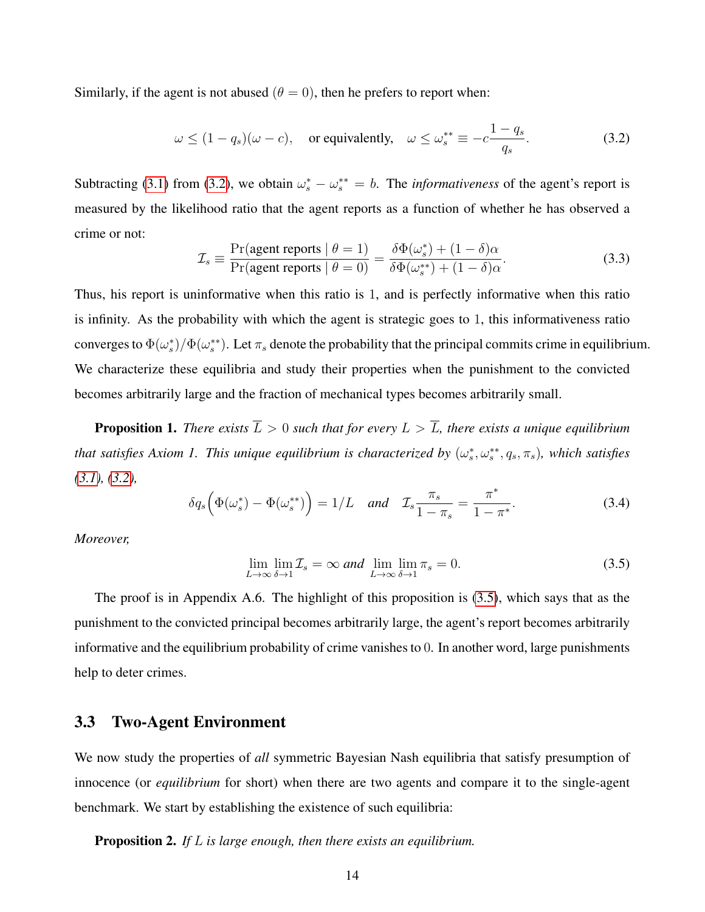Similarly, if the agent is not abused  $(\theta = 0)$ , then he prefers to report when:

<span id="page-13-1"></span>
$$
\omega \le (1 - q_s)(\omega - c), \quad \text{or equivalently,} \quad \omega \le \omega_s^{**} \equiv -c \frac{1 - q_s}{q_s}.\tag{3.2}
$$

Subtracting [\(3.1\)](#page-12-4) from [\(3.2\)](#page-13-1), we obtain  $\omega_s^* - \omega_s^{**} = b$ . The *informativeness* of the agent's report is measured by the likelihood ratio that the agent reports as a function of whether he has observed a crime or not:

$$
\mathcal{I}_s \equiv \frac{\Pr(\text{agent reports} \mid \theta = 1)}{\Pr(\text{agent reports} \mid \theta = 0)} = \frac{\delta \Phi(\omega_s^*) + (1 - \delta)\alpha}{\delta \Phi(\omega_s^{**}) + (1 - \delta)\alpha}.
$$
\n(3.3)

Thus, his report is uninformative when this ratio is 1, and is perfectly informative when this ratio is infinity. As the probability with which the agent is strategic goes to 1, this informativeness ratio converges to  $\Phi(\omega_s^*)/\Phi(\omega_s^{**})$ . Let  $\pi_s$  denote the probability that the principal commits crime in equilibrium. We characterize these equilibria and study their properties when the punishment to the convicted becomes arbitrarily large and the fraction of mechanical types becomes arbitrarily small.

<span id="page-13-0"></span>**Proposition 1.** *There exists*  $\overline{L} > 0$  *such that for every*  $L > \overline{L}$ *, there exists a unique equilibrium that satisfies Axiom 1. This unique equilibrium is characterized by*  $(\omega_s^*,\omega_s^{**},q_s,\pi_s)$ , which satisfies *[\(3.1\)](#page-12-4), [\(3.2\)](#page-13-1),*

<span id="page-13-3"></span>
$$
\delta q_s \left( \Phi(\omega_s^*) - \Phi(\omega_s^{**}) \right) = 1/L \quad \text{and} \quad \mathcal{I}_s \frac{\pi_s}{1 - \pi_s} = \frac{\pi^*}{1 - \pi^*}. \tag{3.4}
$$

*Moreover,*

<span id="page-13-2"></span>
$$
\lim_{L \to \infty} \lim_{\delta \to 1} \mathcal{I}_s = \infty \text{ and } \lim_{L \to \infty} \lim_{\delta \to 1} \pi_s = 0. \tag{3.5}
$$

The proof is in Appendix A.6. The highlight of this proposition is [\(3.5\)](#page-13-2), which says that as the punishment to the convicted principal becomes arbitrarily large, the agent's report becomes arbitrarily informative and the equilibrium probability of crime vanishes to 0. In another word, large punishments help to deter crimes.

#### 3.3 Two-Agent Environment

We now study the properties of *all* symmetric Bayesian Nash equilibria that satisfy presumption of innocence (or *equilibrium* for short) when there are two agents and compare it to the single-agent benchmark. We start by establishing the existence of such equilibria:

Proposition 2. *If* L *is large enough, then there exists an equilibrium.*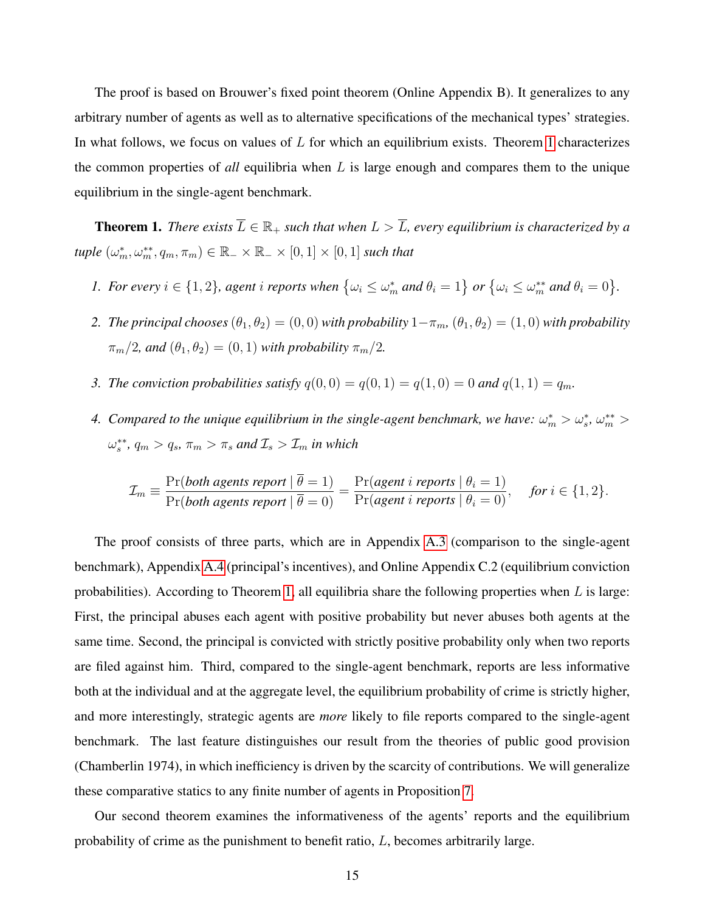The proof is based on Brouwer's fixed point theorem (Online Appendix B). It generalizes to any arbitrary number of agents as well as to alternative specifications of the mechanical types' strategies. In what follows, we focus on values of  $L$  for which an equilibrium exists. Theorem [1](#page-14-0) characterizes the common properties of *all* equilibria when L is large enough and compares them to the unique equilibrium in the single-agent benchmark.

<span id="page-14-0"></span>**Theorem 1.** *There exists*  $\overline{L} \in \mathbb{R}_+$  *such that when*  $L > \overline{L}$ *, every equilibrium is characterized by a*  $\textit{tuple }(\omega_{m}^*,\omega_{m}^{**},q_{m},\pi_{m}) \in \mathbb{R}_+ \times \mathbb{R}_+ \times [0,1] \times [0,1] \text{ such that }$ 

- *1. For every*  $i \in \{1,2\}$ , agent i reports when  $\{\omega_i \leq \omega_m^*$  and  $\theta_i = 1\}$  or  $\{\omega_i \leq \omega_m^{**}$  and  $\theta_i = 0\}$ .
- *2. The principal chooses*  $(\theta_1, \theta_2) = (0, 0)$  *with probability*  $1-\pi_m$ ,  $(\theta_1, \theta_2) = (1, 0)$  *with probability*  $\pi_m/2$ , and  $(\theta_1, \theta_2) = (0, 1)$  with probability  $\pi_m/2$ .
- *3. The conviction probabilities satisfy*  $q(0, 0) = q(0, 1) = q(1, 0) = 0$  and  $q(1, 1) = q_m$ .
- 4. Compared to the unique equilibrium in the single-agent benchmark, we have:  $\omega_m^* > \omega_s^*$ ,  $\omega_m^{**} >$  $\omega_s^{**}$ ,  $q_m > q_s$ ,  $\pi_m > \pi_s$  and  $\mathcal{I}_s > \mathcal{I}_m$  in which

$$
\mathcal{I}_m \equiv \frac{\Pr(\text{both agents report} \mid \overline{\theta} = 1)}{\Pr(\text{both agents report} \mid \overline{\theta} = 0)} = \frac{\Pr(\text{agent } i \text{ reports} \mid \theta_i = 1)}{\Pr(\text{agent } i \text{ reports} \mid \theta_i = 0)}, \quad \text{for } i \in \{1, 2\}.
$$

The proof consists of three parts, which are in Appendix [A.3](#page-34-0) (comparison to the single-agent benchmark), Appendix [A.4](#page-35-0) (principal's incentives), and Online Appendix C.2 (equilibrium conviction probabilities). According to Theorem [1,](#page-14-0) all equilibria share the following properties when  $L$  is large: First, the principal abuses each agent with positive probability but never abuses both agents at the same time. Second, the principal is convicted with strictly positive probability only when two reports are filed against him. Third, compared to the single-agent benchmark, reports are less informative both at the individual and at the aggregate level, the equilibrium probability of crime is strictly higher, and more interestingly, strategic agents are *more* likely to file reports compared to the single-agent benchmark. The last feature distinguishes our result from the theories of public good provision (Chamberlin 1974), in which inefficiency is driven by the scarcity of contributions. We will generalize these comparative statics to any finite number of agents in Proposition [7.](#page-26-0)

Our second theorem examines the informativeness of the agents' reports and the equilibrium probability of crime as the punishment to benefit ratio, L, becomes arbitrarily large.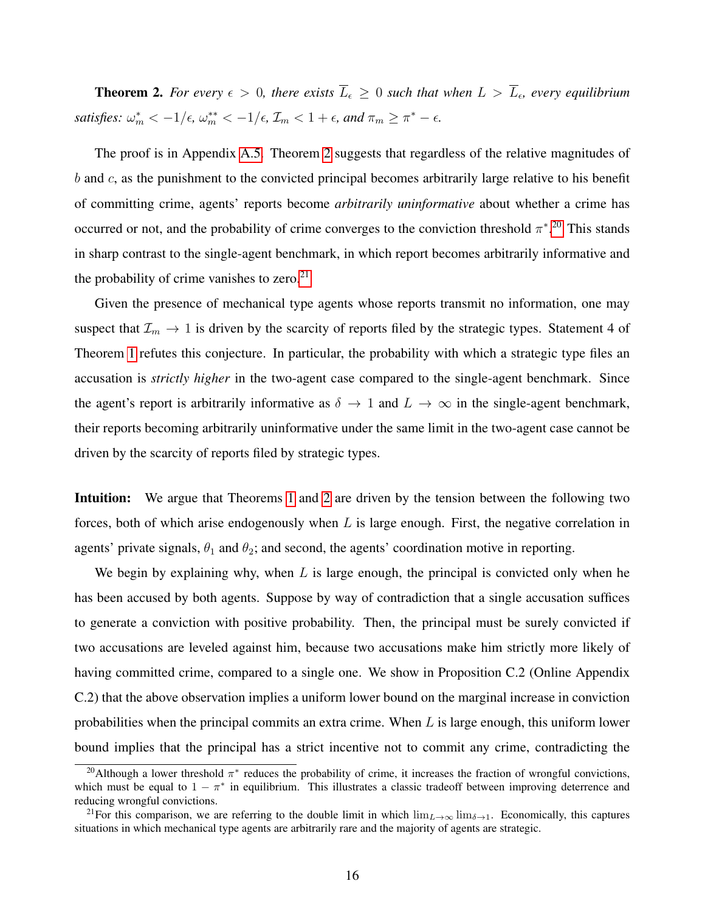<span id="page-15-0"></span>**Theorem 2.** For every  $\epsilon > 0$ , there exists  $\overline{L}_{\epsilon} \geq 0$  such that when  $L > \overline{L}_{\epsilon}$ , every equilibrium satisfies:  $\omega_m^* < -1/\epsilon$ ,  $\omega_m^{**} < -1/\epsilon$ ,  $\mathcal{I}_m < 1 + \epsilon$ , and  $\pi_m \geq \pi^* - \epsilon$ .

The proof is in Appendix [A.5.](#page-35-1) Theorem [2](#page-15-0) suggests that regardless of the relative magnitudes of  $b$  and  $c$ , as the punishment to the convicted principal becomes arbitrarily large relative to his benefit of committing crime, agents' reports become *arbitrarily uninformative* about whether a crime has occurred or not, and the probability of crime converges to the conviction threshold  $\pi^*$ <sup>[20](#page-15-1)</sup>. This stands in sharp contrast to the single-agent benchmark, in which report becomes arbitrarily informative and the probability of crime vanishes to zero. $21$ 

Given the presence of mechanical type agents whose reports transmit no information, one may suspect that  $\mathcal{I}_m \to 1$  is driven by the scarcity of reports filed by the strategic types. Statement 4 of Theorem [1](#page-14-0) refutes this conjecture. In particular, the probability with which a strategic type files an accusation is *strictly higher* in the two-agent case compared to the single-agent benchmark. Since the agent's report is arbitrarily informative as  $\delta \to 1$  and  $L \to \infty$  in the single-agent benchmark, their reports becoming arbitrarily uninformative under the same limit in the two-agent case cannot be driven by the scarcity of reports filed by strategic types.

Intuition: We argue that Theorems [1](#page-14-0) and [2](#page-15-0) are driven by the tension between the following two forces, both of which arise endogenously when  $L$  is large enough. First, the negative correlation in agents' private signals,  $\theta_1$  and  $\theta_2$ ; and second, the agents' coordination motive in reporting.

We begin by explaining why, when  $L$  is large enough, the principal is convicted only when he has been accused by both agents. Suppose by way of contradiction that a single accusation suffices to generate a conviction with positive probability. Then, the principal must be surely convicted if two accusations are leveled against him, because two accusations make him strictly more likely of having committed crime, compared to a single one. We show in Proposition C.2 (Online Appendix C.2) that the above observation implies a uniform lower bound on the marginal increase in conviction probabilities when the principal commits an extra crime. When  $L$  is large enough, this uniform lower bound implies that the principal has a strict incentive not to commit any crime, contradicting the

<span id="page-15-1"></span><sup>&</sup>lt;sup>20</sup>Although a lower threshold  $\pi^*$  reduces the probability of crime, it increases the fraction of wrongful convictions, which must be equal to  $1 - \pi^*$  in equilibrium. This illustrates a classic tradeoff between improving deterrence and reducing wrongful convictions.

<span id="page-15-2"></span><sup>&</sup>lt;sup>21</sup>For this comparison, we are referring to the double limit in which  $\lim_{L\to\infty} \lim_{\delta\to 1}$ . Economically, this captures situations in which mechanical type agents are arbitrarily rare and the majority of agents are strategic.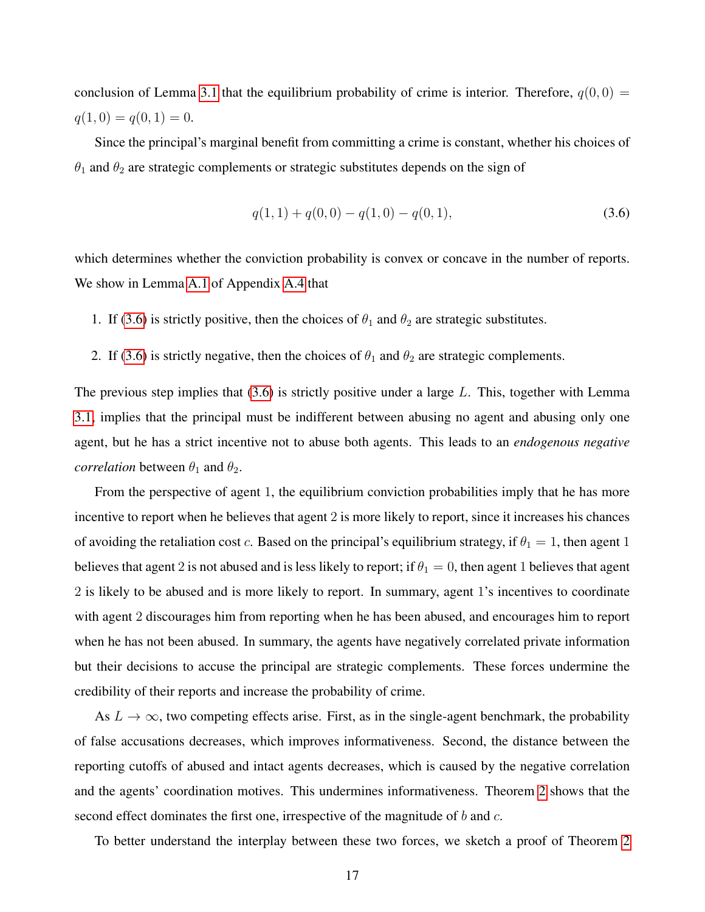conclusion of Lemma [3.1](#page-12-0) that the equilibrium probability of crime is interior. Therefore,  $q(0,0)$  =  $q(1, 0) = q(0, 1) = 0.$ 

Since the principal's marginal benefit from committing a crime is constant, whether his choices of  $\theta_1$  and  $\theta_2$  are strategic complements or strategic substitutes depends on the sign of

<span id="page-16-0"></span>
$$
q(1,1) + q(0,0) - q(1,0) - q(0,1),
$$
\n(3.6)

which determines whether the conviction probability is convex or concave in the number of reports. We show in Lemma [A.1](#page-35-2) of Appendix [A.4](#page-35-0) that

- 1. If [\(3.6\)](#page-16-0) is strictly positive, then the choices of  $\theta_1$  and  $\theta_2$  are strategic substitutes.
- 2. If [\(3.6\)](#page-16-0) is strictly negative, then the choices of  $\theta_1$  and  $\theta_2$  are strategic complements.

The previous step implies that  $(3.6)$  is strictly positive under a large L. This, together with Lemma [3.1,](#page-12-0) implies that the principal must be indifferent between abusing no agent and abusing only one agent, but he has a strict incentive not to abuse both agents. This leads to an *endogenous negative correlation* between  $\theta_1$  and  $\theta_2$ .

From the perspective of agent 1, the equilibrium conviction probabilities imply that he has more incentive to report when he believes that agent 2 is more likely to report, since it increases his chances of avoiding the retaliation cost c. Based on the principal's equilibrium strategy, if  $\theta_1 = 1$ , then agent 1 believes that agent 2 is not abused and is less likely to report; if  $\theta_1 = 0$ , then agent 1 believes that agent 2 is likely to be abused and is more likely to report. In summary, agent 1's incentives to coordinate with agent 2 discourages him from reporting when he has been abused, and encourages him to report when he has not been abused. In summary, the agents have negatively correlated private information but their decisions to accuse the principal are strategic complements. These forces undermine the credibility of their reports and increase the probability of crime.

As  $L \to \infty$ , two competing effects arise. First, as in the single-agent benchmark, the probability of false accusations decreases, which improves informativeness. Second, the distance between the reporting cutoffs of abused and intact agents decreases, which is caused by the negative correlation and the agents' coordination motives. This undermines informativeness. Theorem [2](#page-15-0) shows that the second effect dominates the first one, irrespective of the magnitude of  $b$  and  $c$ .

To better understand the interplay between these two forces, we sketch a proof of Theorem [2](#page-15-0)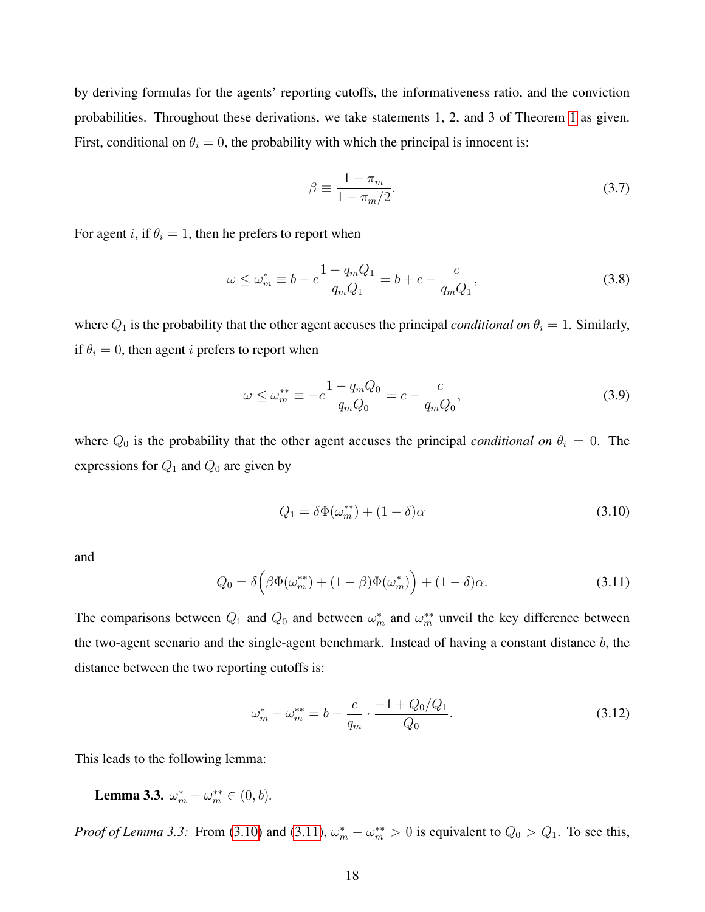by deriving formulas for the agents' reporting cutoffs, the informativeness ratio, and the conviction probabilities. Throughout these derivations, we take statements 1, 2, and 3 of Theorem [1](#page-14-0) as given. First, conditional on  $\theta_i = 0$ , the probability with which the principal is innocent is:

<span id="page-17-5"></span>
$$
\beta \equiv \frac{1 - \pi_m}{1 - \pi_m/2}.\tag{3.7}
$$

For agent i, if  $\theta_i = 1$ , then he prefers to report when

<span id="page-17-3"></span>
$$
\omega \le \omega_m^* \equiv b - c \frac{1 - q_m Q_1}{q_m Q_1} = b + c - \frac{c}{q_m Q_1},
$$
\n(3.8)

where  $Q_1$  is the probability that the other agent accuses the principal *conditional on*  $\theta_i = 1$ . Similarly, if  $\theta_i = 0$ , then agent *i* prefers to report when

<span id="page-17-4"></span>
$$
\omega \le \omega_m^{**} \equiv -c \frac{1 - q_m Q_0}{q_m Q_0} = c - \frac{c}{q_m Q_0},\tag{3.9}
$$

where  $Q_0$  is the probability that the other agent accuses the principal *conditional on*  $\theta_i = 0$ . The expressions for  $Q_1$  and  $Q_0$  are given by

<span id="page-17-0"></span>
$$
Q_1 = \delta \Phi(\omega_m^{**}) + (1 - \delta)\alpha \tag{3.10}
$$

and

<span id="page-17-1"></span>
$$
Q_0 = \delta \left( \beta \Phi(\omega_m^{**}) + (1 - \beta) \Phi(\omega_m^*) \right) + (1 - \delta) \alpha.
$$
 (3.11)

The comparisons between  $Q_1$  and  $Q_0$  and between  $\omega_m^*$  and  $\omega_m^{**}$  unveil the key difference between the two-agent scenario and the single-agent benchmark. Instead of having a constant distance  $b$ , the distance between the two reporting cutoffs is:

<span id="page-17-2"></span>
$$
\omega_m^* - \omega_m^{**} = b - \frac{c}{q_m} \cdot \frac{-1 + Q_0/Q_1}{Q_0}.
$$
\n(3.12)

<span id="page-17-6"></span>This leads to the following lemma:

**Lemma 3.3.**  $\omega_m^* - \omega_m^{**} \in (0, b)$ .

*Proof of Lemma 3.3:* From [\(3.10\)](#page-17-0) and [\(3.11\)](#page-17-1),  $\omega_m^* - \omega_m^{**} > 0$  is equivalent to  $Q_0 > Q_1$ . To see this,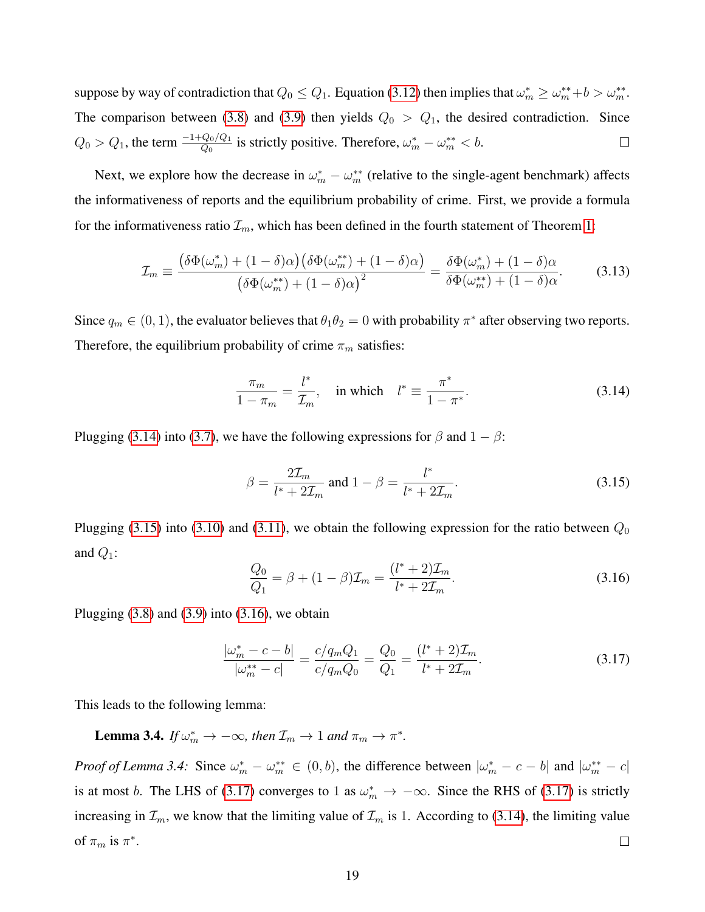suppose by way of contradiction that  $Q_0 \leq Q_1$ . Equation [\(3.12\)](#page-17-2) then implies that  $\omega_m^* \geq \omega_m^{**} + b > \omega_m^{**}$ . The comparison between [\(3.8\)](#page-17-3) and [\(3.9\)](#page-17-4) then yields  $Q_0 > Q_1$ , the desired contradiction. Since  $Q_0 > Q_1$ , the term  $\frac{-1+Q_0/Q_1}{Q_0}$  is strictly positive. Therefore,  $\omega_m^* - \omega_m^{**} < b$ .  $\Box$ 

Next, we explore how the decrease in  $\omega_m^* - \omega_m^{**}$  (relative to the single-agent benchmark) affects the informativeness of reports and the equilibrium probability of crime. First, we provide a formula for the informativeness ratio  $\mathcal{I}_m$ , which has been defined in the fourth statement of Theorem [1:](#page-14-0)

<span id="page-18-4"></span>
$$
\mathcal{I}_m \equiv \frac{\left(\delta\Phi(\omega_m^*) + (1-\delta)\alpha\right)\left(\delta\Phi(\omega_m^{**}) + (1-\delta)\alpha\right)}{\left(\delta\Phi(\omega_m^{**}) + (1-\delta)\alpha\right)^2} = \frac{\delta\Phi(\omega_m^*) + (1-\delta)\alpha}{\delta\Phi(\omega_m^{**}) + (1-\delta)\alpha}.\tag{3.13}
$$

Since  $q_m \in (0, 1)$ , the evaluator believes that  $\theta_1 \theta_2 = 0$  with probability  $\pi^*$  after observing two reports. Therefore, the equilibrium probability of crime  $\pi_m$  satisfies:

<span id="page-18-0"></span>
$$
\frac{\pi_m}{1 - \pi_m} = \frac{l^*}{\mathcal{I}_m}, \quad \text{in which} \quad l^* \equiv \frac{\pi^*}{1 - \pi^*}.
$$
\n(3.14)

Plugging [\(3.14\)](#page-18-0) into [\(3.7\)](#page-17-5), we have the following expressions for  $\beta$  and  $1 - \beta$ :

<span id="page-18-1"></span>
$$
\beta = \frac{2\mathcal{I}_m}{l^* + 2\mathcal{I}_m} \text{ and } 1 - \beta = \frac{l^*}{l^* + 2\mathcal{I}_m}.
$$
 (3.15)

Plugging [\(3.15\)](#page-18-1) into [\(3.10\)](#page-17-0) and [\(3.11\)](#page-17-1), we obtain the following expression for the ratio between  $Q_0$ and  $Q_1$ :

<span id="page-18-2"></span>
$$
\frac{Q_0}{Q_1} = \beta + (1 - \beta)\mathcal{I}_m = \frac{(l^* + 2)\mathcal{I}_m}{l^* + 2\mathcal{I}_m}.
$$
\n(3.16)

Plugging  $(3.8)$  and  $(3.9)$  into  $(3.16)$ , we obtain

<span id="page-18-3"></span>
$$
\frac{|\omega_m^* - c - b|}{|\omega_m^{**} - c|} = \frac{c/q_m Q_1}{c/q_m Q_0} = \frac{Q_0}{Q_1} = \frac{(l^* + 2)\mathcal{I}_m}{l^* + 2\mathcal{I}_m}.
$$
\n(3.17)

<span id="page-18-5"></span>This leads to the following lemma:

**Lemma 3.4.** *If*  $\omega_m^* \to -\infty$ *, then*  $\mathcal{I}_m \to 1$  *and*  $\pi_m \to \pi^*$ *.* 

*Proof of Lemma 3.4:* Since  $\omega_m^* - \omega_m^{**} \in (0, b)$ , the difference between  $|\omega_m^* - c - b|$  and  $|\omega_m^{**} - c|$ is at most b. The LHS of [\(3.17\)](#page-18-3) converges to 1 as  $\omega_m^* \to -\infty$ . Since the RHS of (3.17) is strictly increasing in  $\mathcal{I}_m$ , we know that the limiting value of  $\mathcal{I}_m$  is 1. According to [\(3.14\)](#page-18-0), the limiting value of  $\pi_m$  is  $\pi^*$ .  $\Box$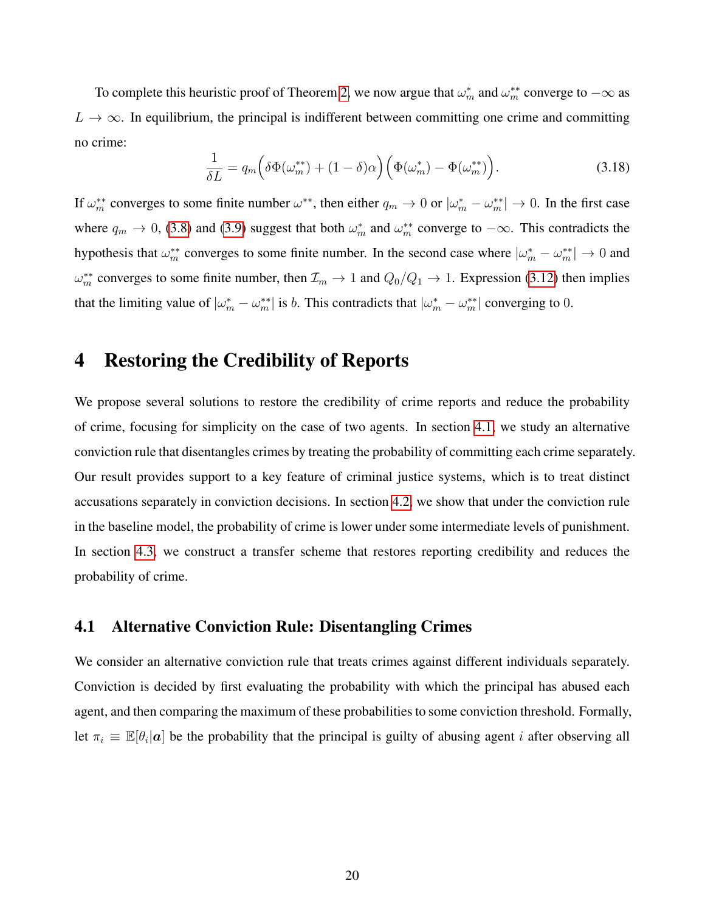To complete this heuristic proof of Theorem [2,](#page-15-0) we now argue that  $\omega_m^*$  and  $\omega_m^{**}$  converge to  $-\infty$  as  $L \to \infty$ . In equilibrium, the principal is indifferent between committing one crime and committing no crime:

$$
\frac{1}{\delta L} = q_m \left( \delta \Phi(\omega_m^{**}) + (1 - \delta)\alpha \right) \left( \Phi(\omega_m^{*}) - \Phi(\omega_m^{**}) \right). \tag{3.18}
$$

If  $\omega_m^{**}$  converges to some finite number  $\omega^{**}$ , then either  $q_m \to 0$  or  $|\omega_m^* - \omega_m^{**}| \to 0$ . In the first case where  $q_m \to 0$ , [\(3.8\)](#page-17-3) and [\(3.9\)](#page-17-4) suggest that both  $\omega_m^*$  and  $\omega_m^{**}$  converge to  $-\infty$ . This contradicts the hypothesis that  $\omega_m^{**}$  converges to some finite number. In the second case where  $|\omega_m^* - \omega_m^{**}| \to 0$  and  $\omega_m^{**}$  converges to some finite number, then  $\mathcal{I}_m \to 1$  and  $Q_0/Q_1 \to 1$ . Expression [\(3.12\)](#page-17-2) then implies that the limiting value of  $|\omega_m^* - \omega_m^{**}|$  is *b*. This contradicts that  $|\omega_m^* - \omega_m^{**}|$  converging to 0.

# <span id="page-19-0"></span>4 Restoring the Credibility of Reports

We propose several solutions to restore the credibility of crime reports and reduce the probability of crime, focusing for simplicity on the case of two agents. In section [4.1,](#page-19-1) we study an alternative conviction rule that disentangles crimes by treating the probability of committing each crime separately. Our result provides support to a key feature of criminal justice systems, which is to treat distinct accusations separately in conviction decisions. In section [4.2,](#page-22-0) we show that under the conviction rule in the baseline model, the probability of crime is lower under some intermediate levels of punishment. In section [4.3,](#page-23-1) we construct a transfer scheme that restores reporting credibility and reduces the probability of crime.

### <span id="page-19-1"></span>4.1 Alternative Conviction Rule: Disentangling Crimes

We consider an alternative conviction rule that treats crimes against different individuals separately. Conviction is decided by first evaluating the probability with which the principal has abused each agent, and then comparing the maximum of these probabilities to some conviction threshold. Formally, let  $\pi_i \equiv \mathbb{E}[\theta_i | \mathbf{a}]$  be the probability that the principal is guilty of abusing agent *i* after observing all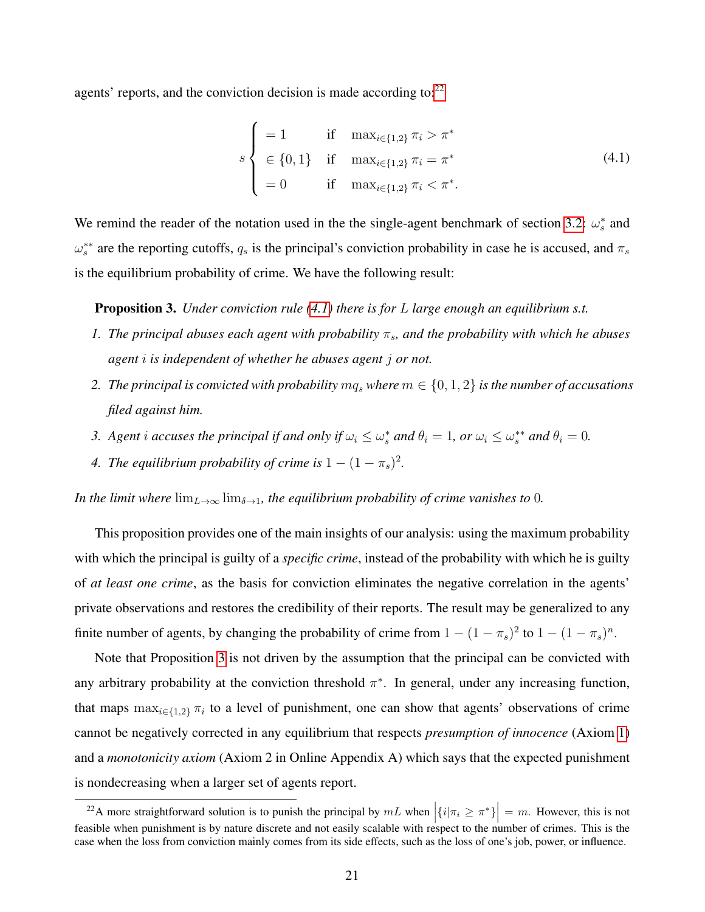agents' reports, and the conviction decision is made according to: $22$ 

<span id="page-20-2"></span>
$$
s \begin{cases} = 1 & \text{if } \max_{i \in \{1,2\}} \pi_i > \pi^* \\ \in \{0, 1\} & \text{if } \max_{i \in \{1,2\}} \pi_i = \pi^* \\ = 0 & \text{if } \max_{i \in \{1,2\}} \pi_i < \pi^*. \end{cases}
$$
(4.1)

We remind the reader of the notation used in the the single-agent benchmark of section [3.2:](#page-12-5)  $\omega_s^*$  and  $\omega_s^{**}$  are the reporting cutoffs,  $q_s$  is the principal's conviction probability in case he is accused, and  $\pi_s$ is the equilibrium probability of crime. We have the following result:

<span id="page-20-0"></span>Proposition 3. *Under conviction rule [\(4.1\)](#page-20-2) there is for* L *large enough an equilibrium s.t.*

- *1. The principal abuses each agent with probability*  $\pi_s$ , and the probability with which he abuses *agent* i *is independent of whether he abuses agent* j *or not.*
- 2. *The principal is convicted with probability*  $mq_s$  *where*  $m \in \{0, 1, 2\}$  *is the number of accusations filed against him.*
- *3.* Agent i accuses the principal if and only if  $\omega_i \leq \omega_s^*$  and  $\theta_i = 1$ , or  $\omega_i \leq \omega_s^{**}$  and  $\theta_i = 0$ .
- *4. The equilibrium probability of crime is*  $1 (1 \pi_s)^2$ .

*In the limit where*  $\lim_{L\to\infty}\lim_{\delta\to 1}$ , the equilibrium probability of crime vanishes to 0.

This proposition provides one of the main insights of our analysis: using the maximum probability with which the principal is guilty of a *specific crime*, instead of the probability with which he is guilty of *at least one crime*, as the basis for conviction eliminates the negative correlation in the agents' private observations and restores the credibility of their reports. The result may be generalized to any finite number of agents, by changing the probability of crime from  $1 - (1 - \pi_s)^2$  to  $1 - (1 - \pi_s)^n$ .

Note that Proposition [3](#page-20-0) is not driven by the assumption that the principal can be convicted with any arbitrary probability at the conviction threshold  $\pi^*$ . In general, under any increasing function, that maps  $\max_{i \in \{1,2\}} \pi_i$  to a level of punishment, one can show that agents' observations of crime cannot be negatively corrected in any equilibrium that respects *presumption of innocence* (Axiom [1\)](#page-11-2) and a *monotonicity axiom* (Axiom 2 in Online Appendix A) which says that the expected punishment is nondecreasing when a larger set of agents report.

<span id="page-20-1"></span><sup>&</sup>lt;sup>22</sup>A more straightforward solution is to punish the principal by  $mL$  when  $|\{i|\pi_i \geq \pi^*\}| = m$ . However, this is not feasible when punishment is by nature discrete and not easily scalable with respect to the number of crimes. This is the case when the loss from conviction mainly comes from its side effects, such as the loss of one's job, power, or influence.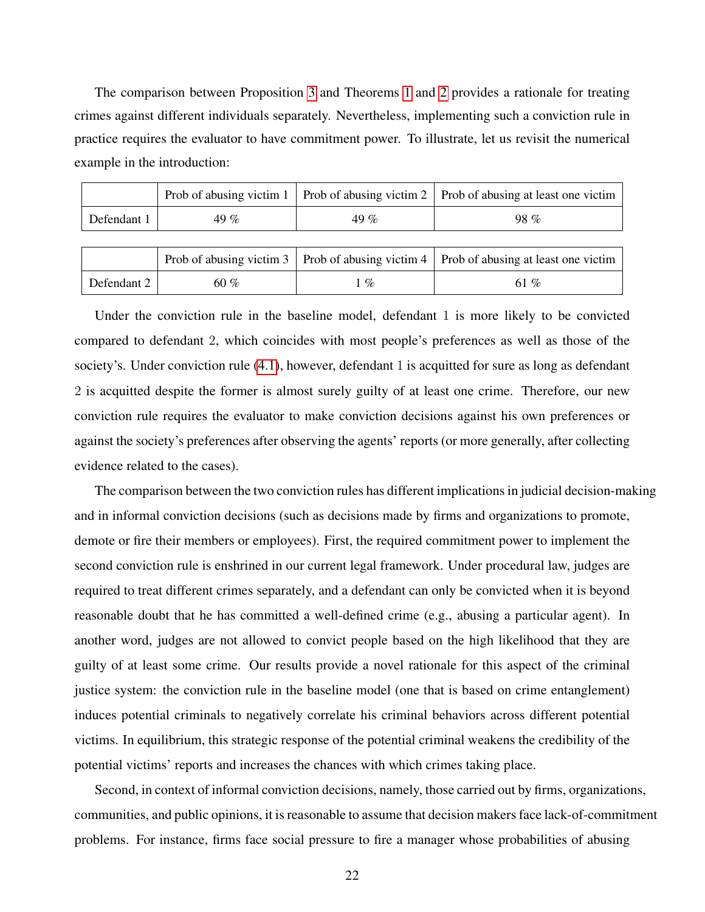The comparison between Proposition [3](#page-20-0) and Theorems [1](#page-14-0) and [2](#page-15-0) provides a rationale for treating crimes against different individuals separately. Nevertheless, implementing such a conviction rule in practice requires the evaluator to have commitment power. To illustrate, let us revisit the numerical example in the introduction:

|             |      |      | Prob of abusing victim 1   Prob of abusing victim 2   Prob of abusing at least one victim |
|-------------|------|------|-------------------------------------------------------------------------------------------|
| Defendant 1 | 49 % | 49 % | $98\%$                                                                                    |
|             |      |      |                                                                                           |

|             |      |      | Prob of abusing victim 3   Prob of abusing victim 4   Prob of abusing at least one victim |
|-------------|------|------|-------------------------------------------------------------------------------------------|
| Defendant 2 | 60 % | $\%$ | 61 %                                                                                      |

Under the conviction rule in the baseline model, defendant 1 is more likely to be convicted compared to defendant 2, which coincides with most people's preferences as well as those of the society's. Under conviction rule [\(4.1\)](#page-20-2), however, defendant 1 is acquitted for sure as long as defendant 2 is acquitted despite the former is almost surely guilty of at least one crime. Therefore, our new conviction rule requires the evaluator to make conviction decisions against his own preferences or against the society's preferences after observing the agents' reports (or more generally, after collecting evidence related to the cases).

The comparison between the two conviction rules has different implications in judicial decision-making and in informal conviction decisions (such as decisions made by firms and organizations to promote, demote or fire their members or employees). First, the required commitment power to implement the second conviction rule is enshrined in our current legal framework. Under procedural law, judges are required to treat different crimes separately, and a defendant can only be convicted when it is beyond reasonable doubt that he has committed a well-defined crime (e.g., abusing a particular agent). In another word, judges are not allowed to convict people based on the high likelihood that they are guilty of at least some crime. Our results provide a novel rationale for this aspect of the criminal justice system: the conviction rule in the baseline model (one that is based on crime entanglement) induces potential criminals to negatively correlate his criminal behaviors across different potential victims. In equilibrium, this strategic response of the potential criminal weakens the credibility of the potential victims' reports and increases the chances with which crimes taking place.

Second, in context of informal conviction decisions, namely, those carried out by firms, organizations, communities, and public opinions, it is reasonable to assume that decision makers face lack-of-commitment problems. For instance, firms face social pressure to fire a manager whose probabilities of abusing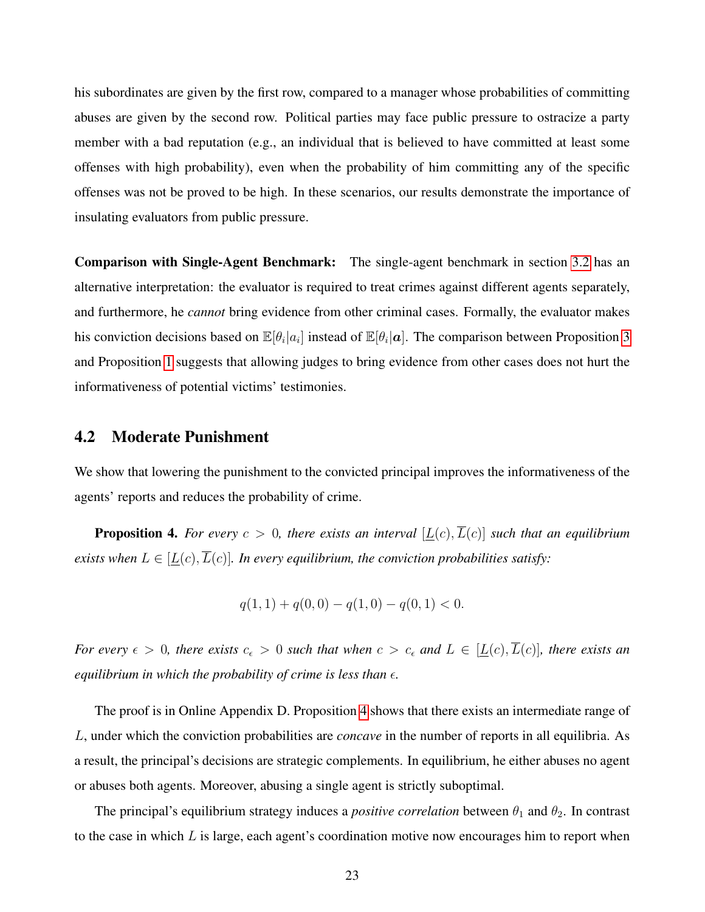his subordinates are given by the first row, compared to a manager whose probabilities of committing abuses are given by the second row. Political parties may face public pressure to ostracize a party member with a bad reputation (e.g., an individual that is believed to have committed at least some offenses with high probability), even when the probability of him committing any of the specific offenses was not be proved to be high. In these scenarios, our results demonstrate the importance of insulating evaluators from public pressure.

Comparison with Single-Agent Benchmark: The single-agent benchmark in section [3.2](#page-12-5) has an alternative interpretation: the evaluator is required to treat crimes against different agents separately, and furthermore, he *cannot* bring evidence from other criminal cases. Formally, the evaluator makes his conviction decisions based on  $\mathbb{E}[\theta_i|a_i]$  instead of  $\mathbb{E}[\theta_i|a]$ . The comparison between Proposition [3](#page-20-0) and Proposition [1](#page-13-0) suggests that allowing judges to bring evidence from other cases does not hurt the informativeness of potential victims' testimonies.

### <span id="page-22-0"></span>4.2 Moderate Punishment

We show that lowering the punishment to the convicted principal improves the informativeness of the agents' reports and reduces the probability of crime.

<span id="page-22-1"></span>**Proposition 4.** For every  $c > 0$ , there exists an interval  $[\underline{L}(c), \overline{L}(c)]$  such that an equilibrium *exists when*  $L \in [L(c), \overline{L}(c)]$ . In every equilibrium, the conviction probabilities satisfy:

$$
q(1,1) + q(0,0) - q(1,0) - q(0,1) < 0.
$$

*For every*  $\epsilon > 0$ , there exists  $c_{\epsilon} > 0$  such that when  $c > c_{\epsilon}$  and  $L \in [\underline{L}(c), \overline{L}(c)]$ , there exists an *equilibrium in which the probability of crime is less than*  $\epsilon$ .

The proof is in Online Appendix D. Proposition [4](#page-22-1) shows that there exists an intermediate range of L, under which the conviction probabilities are *concave* in the number of reports in all equilibria. As a result, the principal's decisions are strategic complements. In equilibrium, he either abuses no agent or abuses both agents. Moreover, abusing a single agent is strictly suboptimal.

The principal's equilibrium strategy induces a *positive correlation* between  $\theta_1$  and  $\theta_2$ . In contrast to the case in which  $L$  is large, each agent's coordination motive now encourages him to report when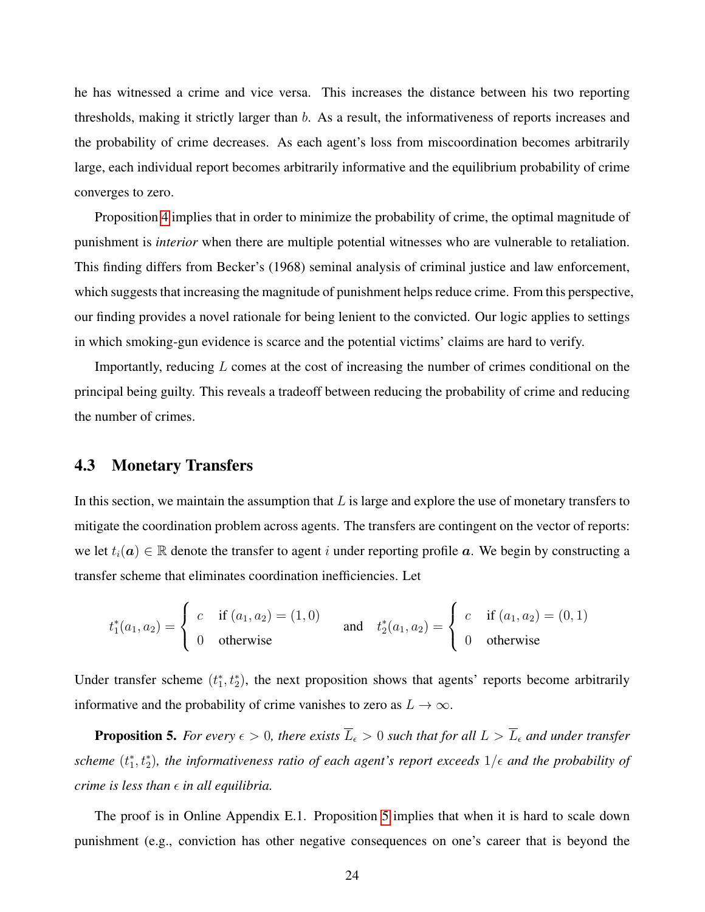he has witnessed a crime and vice versa. This increases the distance between his two reporting thresholds, making it strictly larger than  $b$ . As a result, the informativeness of reports increases and the probability of crime decreases. As each agent's loss from miscoordination becomes arbitrarily large, each individual report becomes arbitrarily informative and the equilibrium probability of crime converges to zero.

Proposition [4](#page-22-1) implies that in order to minimize the probability of crime, the optimal magnitude of punishment is *interior* when there are multiple potential witnesses who are vulnerable to retaliation. This finding differs from Becker's (1968) seminal analysis of criminal justice and law enforcement, which suggests that increasing the magnitude of punishment helps reduce crime. From this perspective, our finding provides a novel rationale for being lenient to the convicted. Our logic applies to settings in which smoking-gun evidence is scarce and the potential victims' claims are hard to verify.

Importantly, reducing L comes at the cost of increasing the number of crimes conditional on the principal being guilty. This reveals a tradeoff between reducing the probability of crime and reducing the number of crimes.

#### <span id="page-23-1"></span>4.3 Monetary Transfers

In this section, we maintain the assumption that  $L$  is large and explore the use of monetary transfers to mitigate the coordination problem across agents. The transfers are contingent on the vector of reports: we let  $t_i(a) \in \mathbb{R}$  denote the transfer to agent i under reporting profile a. We begin by constructing a transfer scheme that eliminates coordination inefficiencies. Let

$$
t_1^*(a_1, a_2) = \begin{cases} c & \text{if } (a_1, a_2) = (1, 0) \\ 0 & \text{otherwise} \end{cases} \quad \text{and} \quad t_2^*(a_1, a_2) = \begin{cases} c & \text{if } (a_1, a_2) = (0, 1) \\ 0 & \text{otherwise} \end{cases}
$$

Under transfer scheme  $(t_1^*, t_2^*)$ , the next proposition shows that agents' reports become arbitrarily informative and the probability of crime vanishes to zero as  $L \to \infty$ .

<span id="page-23-0"></span>**Proposition 5.** For every  $\epsilon > 0$ , there exists  $\overline{L}_{\epsilon} > 0$  such that for all  $L > \overline{L}_{\epsilon}$  and under transfer scheme  $(t_1^*, t_2^*)$ , the informativeness ratio of each agent's report exceeds  $1/\epsilon$  and the probability of *crime is less than*  $\epsilon$  *in all equilibria.* 

The proof is in Online Appendix E.1. Proposition [5](#page-23-0) implies that when it is hard to scale down punishment (e.g., conviction has other negative consequences on one's career that is beyond the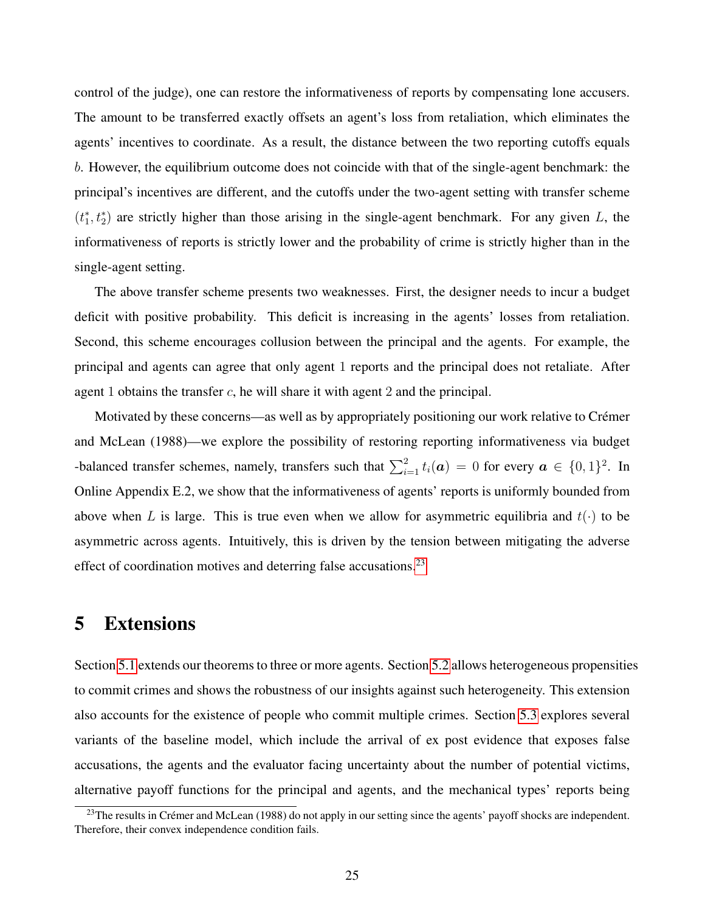control of the judge), one can restore the informativeness of reports by compensating lone accusers. The amount to be transferred exactly offsets an agent's loss from retaliation, which eliminates the agents' incentives to coordinate. As a result, the distance between the two reporting cutoffs equals b. However, the equilibrium outcome does not coincide with that of the single-agent benchmark: the principal's incentives are different, and the cutoffs under the two-agent setting with transfer scheme  $(t_1^*, t_2^*)$  are strictly higher than those arising in the single-agent benchmark. For any given L, the informativeness of reports is strictly lower and the probability of crime is strictly higher than in the single-agent setting.

The above transfer scheme presents two weaknesses. First, the designer needs to incur a budget deficit with positive probability. This deficit is increasing in the agents' losses from retaliation. Second, this scheme encourages collusion between the principal and the agents. For example, the principal and agents can agree that only agent 1 reports and the principal does not retaliate. After agent 1 obtains the transfer c, he will share it with agent 2 and the principal.

Motivated by these concerns—as well as by appropriately positioning our work relative to Crémer and McLean (1988)—we explore the possibility of restoring reporting informativeness via budget -balanced transfer schemes, namely, transfers such that  $\sum_{i=1}^{2} t_i(a) = 0$  for every  $a \in \{0, 1\}^2$ . In Online Appendix E.2, we show that the informativeness of agents' reports is uniformly bounded from above when L is large. This is true even when we allow for asymmetric equilibria and  $t(\cdot)$  to be asymmetric across agents. Intuitively, this is driven by the tension between mitigating the adverse effect of coordination motives and deterring false accusations.<sup>[23](#page-24-1)</sup>

# <span id="page-24-0"></span>5 Extensions

Section [5.1](#page-25-1) extends our theorems to three or more agents. Section [5.2](#page-26-1) allows heterogeneous propensities to commit crimes and shows the robustness of our insights against such heterogeneity. This extension also accounts for the existence of people who commit multiple crimes. Section [5.3](#page-28-0) explores several variants of the baseline model, which include the arrival of ex post evidence that exposes false accusations, the agents and the evaluator facing uncertainty about the number of potential victims, alternative payoff functions for the principal and agents, and the mechanical types' reports being

<span id="page-24-1"></span><sup>&</sup>lt;sup>23</sup>The results in Crémer and McLean (1988) do not apply in our setting since the agents' payoff shocks are independent. Therefore, their convex independence condition fails.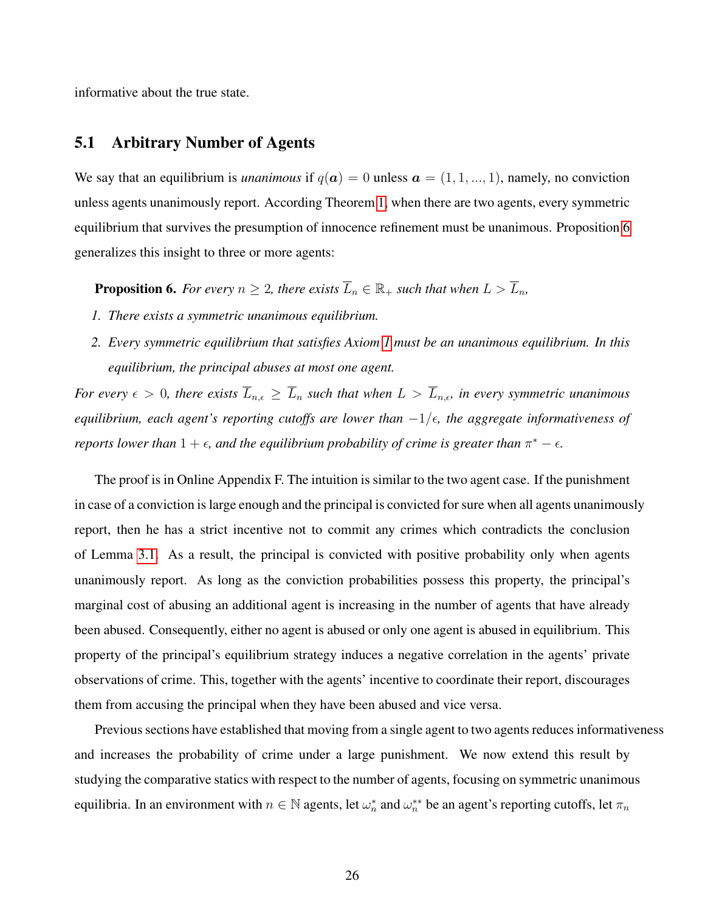informative about the true state.

### <span id="page-25-1"></span>5.1 Arbitrary Number of Agents

We say that an equilibrium is *unanimous* if  $q(a) = 0$  unless  $a = (1, 1, ..., 1)$ , namely, no conviction unless agents unanimously report. According Theorem [1,](#page-14-0) when there are two agents, every symmetric equilibrium that survives the presumption of innocence refinement must be unanimous. Proposition [6](#page-25-0) generalizes this insight to three or more agents:

<span id="page-25-0"></span>**Proposition 6.** For every  $n \geq 2$ , there exists  $\overline{L}_n \in \mathbb{R}_+$  such that when  $L > \overline{L}_n$ ,

- *1. There exists a symmetric unanimous equilibrium.*
- *2. Every symmetric equilibrium that satisfies Axiom [1](#page-11-2) must be an unanimous equilibrium. In this equilibrium, the principal abuses at most one agent.*

*For every*  $\epsilon > 0$ , there exists  $\overline{L}_{n,\epsilon} \geq \overline{L}_n$  such that when  $L > \overline{L}_{n,\epsilon}$ , in every symmetric unanimous *equilibrium, each agent's reporting cutoffs are lower than*  $-1/\epsilon$ , the aggregate informativeness of *reports lower than*  $1 + \epsilon$ , and the equilibrium probability of crime is greater than  $\pi^* - \epsilon$ .

The proof is in Online Appendix F. The intuition is similar to the two agent case. If the punishment in case of a conviction is large enough and the principal is convicted for sure when all agents unanimously report, then he has a strict incentive not to commit any crimes which contradicts the conclusion of Lemma [3.1.](#page-12-0) As a result, the principal is convicted with positive probability only when agents unanimously report. As long as the conviction probabilities possess this property, the principal's marginal cost of abusing an additional agent is increasing in the number of agents that have already been abused. Consequently, either no agent is abused or only one agent is abused in equilibrium. This property of the principal's equilibrium strategy induces a negative correlation in the agents' private observations of crime. This, together with the agents' incentive to coordinate their report, discourages them from accusing the principal when they have been abused and vice versa.

Previous sections have established that moving from a single agent to two agents reduces informativeness and increases the probability of crime under a large punishment. We now extend this result by studying the comparative statics with respect to the number of agents, focusing on symmetric unanimous equilibria. In an environment with  $n \in \mathbb{N}$  agents, let  $\omega_n^*$  and  $\omega_n^{**}$  be an agent's reporting cutoffs, let  $\pi_n$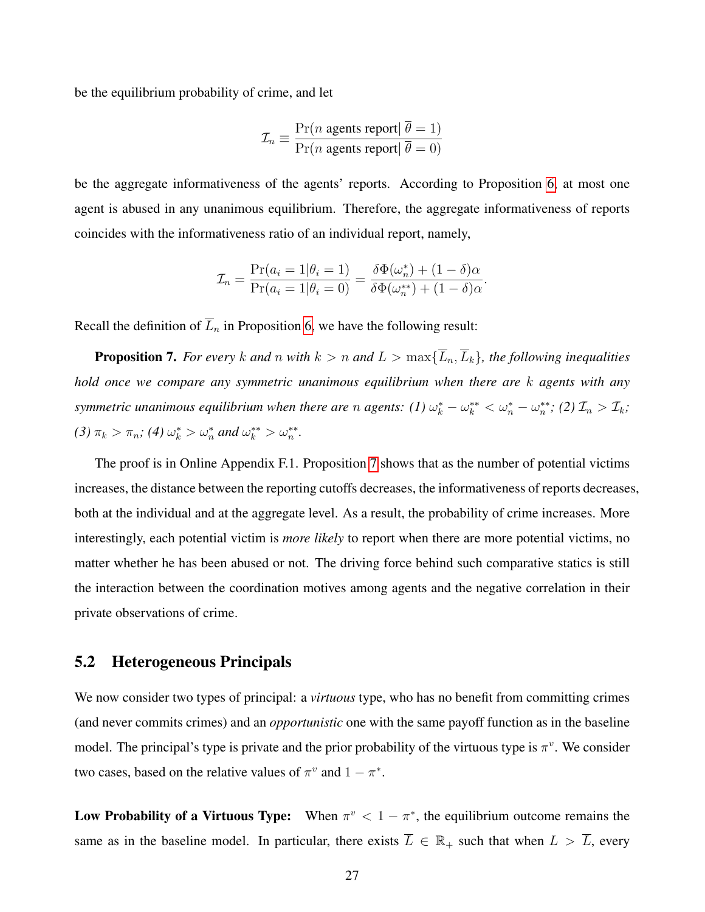be the equilibrium probability of crime, and let

$$
\mathcal{I}_n \equiv \frac{\Pr(n \text{ agents report} | \overline{\theta} = 1)}{\Pr(n \text{ agents report} | \overline{\theta} = 0)}
$$

be the aggregate informativeness of the agents' reports. According to Proposition [6,](#page-25-0) at most one agent is abused in any unanimous equilibrium. Therefore, the aggregate informativeness of reports coincides with the informativeness ratio of an individual report, namely,

$$
\mathcal{I}_n = \frac{\Pr(a_i = 1 | \theta_i = 1)}{\Pr(a_i = 1 | \theta_i = 0)} = \frac{\delta \Phi(\omega_n^*) + (1 - \delta)\alpha}{\delta \Phi(\omega_n^{**}) + (1 - \delta)\alpha}.
$$

Recall the definition of  $\overline{L}_n$  in Proposition [6,](#page-25-0) we have the following result:

<span id="page-26-0"></span>**Proposition 7.** *For every* k and n with  $k > n$  and  $L > \max{\{\overline{L}_n, \overline{L}_k\}}$ , the following inequalities *hold once we compare any symmetric unanimous equilibrium when there are* k *agents with any symmetric unanimous equilibrium when there are* n *agents:*  $(I) \omega_k^* - \omega_k^{**} < \omega_n^* - \omega_n^{**}$ ;  $(2) \mathcal{I}_n > \mathcal{I}_k$ ; (3)  $\pi_k > \pi_n$ ; (4)  $\omega_k^* > \omega_n^*$  and  $\omega_k^{**} > \omega_n^{**}$ .

The proof is in Online Appendix F.1. Proposition [7](#page-26-0) shows that as the number of potential victims increases, the distance between the reporting cutoffs decreases, the informativeness of reports decreases, both at the individual and at the aggregate level. As a result, the probability of crime increases. More interestingly, each potential victim is *more likely* to report when there are more potential victims, no matter whether he has been abused or not. The driving force behind such comparative statics is still the interaction between the coordination motives among agents and the negative correlation in their private observations of crime.

### <span id="page-26-1"></span>5.2 Heterogeneous Principals

We now consider two types of principal: a *virtuous* type, who has no benefit from committing crimes (and never commits crimes) and an *opportunistic* one with the same payoff function as in the baseline model. The principal's type is private and the prior probability of the virtuous type is  $\pi^v$ . We consider two cases, based on the relative values of  $\pi^v$  and  $1 - \pi^*$ .

Low Probability of a Virtuous Type: When  $\pi^v < 1 - \pi^*$ , the equilibrium outcome remains the same as in the baseline model. In particular, there exists  $\overline{L} \in \mathbb{R}_+$  such that when  $L > \overline{L}$ , every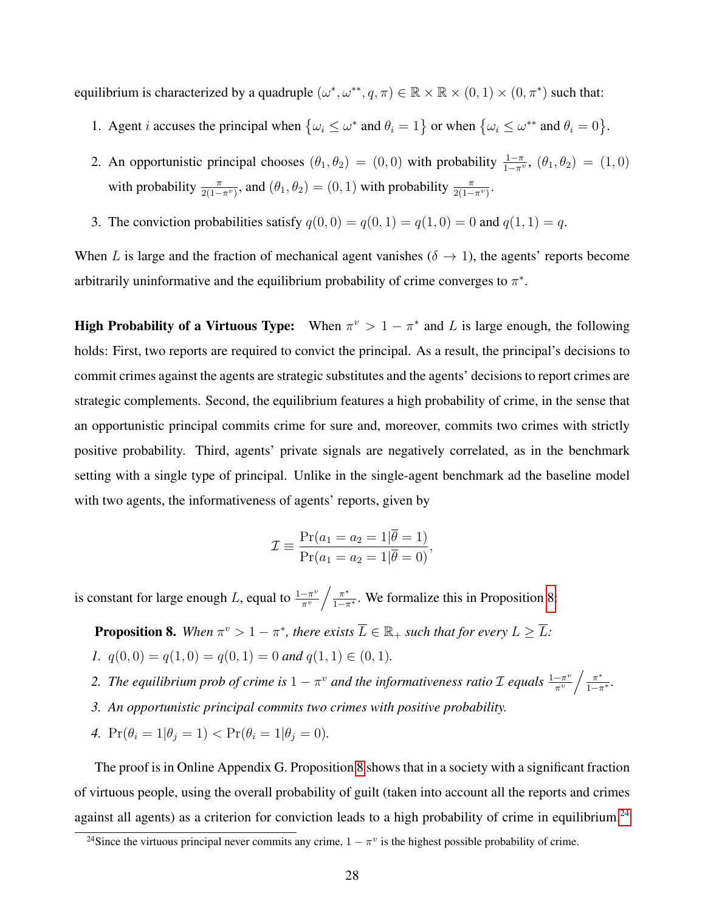equilibrium is characterized by a quadruple  $(\omega^*, \omega^{**}, q, \pi) \in \mathbb{R} \times \mathbb{R} \times (0, 1) \times (0, \pi^*)$  such that:

- 1. Agent *i* accuses the principal when  $\{\omega_i \leq \omega^* \text{ and } \theta_i = 1\}$  or when  $\{\omega_i \leq \omega^{**} \text{ and } \theta_i = 0\}.$
- 2. An opportunistic principal chooses  $(\theta_1, \theta_2) = (0, 0)$  with probability  $\frac{1-\pi}{1-\pi^v}$ ,  $(\theta_1, \theta_2) = (1, 0)$ with probability  $\frac{\pi}{2(1-\pi^{\nu})}$ , and  $(\theta_1, \theta_2) = (0, 1)$  with probability  $\frac{\pi}{2(1-\pi^{\nu})}$ .
- 3. The conviction probabilities satisfy  $q(0, 0) = q(0, 1) = q(1, 0) = 0$  and  $q(1, 1) = q$ .

When L is large and the fraction of mechanical agent vanishes ( $\delta \rightarrow 1$ ), the agents' reports become arbitrarily uninformative and the equilibrium probability of crime converges to  $\pi^*$ .

**High Probability of a Virtuous Type:** When  $\pi^v > 1 - \pi^*$  and L is large enough, the following holds: First, two reports are required to convict the principal. As a result, the principal's decisions to commit crimes against the agents are strategic substitutes and the agents' decisions to report crimes are strategic complements. Second, the equilibrium features a high probability of crime, in the sense that an opportunistic principal commits crime for sure and, moreover, commits two crimes with strictly positive probability. Third, agents' private signals are negatively correlated, as in the benchmark setting with a single type of principal. Unlike in the single-agent benchmark ad the baseline model with two agents, the informativeness of agents' reports, given by

$$
\mathcal{I} \equiv \frac{\Pr(a_1 = a_2 = 1 | \theta = 1)}{\Pr(a_1 = a_2 = 1 | \theta = 0)},
$$

is constant for large enough L, equal to  $\frac{1-\pi^v}{\pi^v}$  $-\frac{\pi^v}{\pi^v}$   $\Big/ \frac{\pi^*}{1-\pi^*}$ . We formalize this in Proposition [8:](#page-27-0)

<span id="page-27-0"></span>**Proposition 8.** When  $\pi^v > 1 - \pi^*$ , there exists  $\overline{L} \in \mathbb{R}_+$  such that for every  $L \geq \overline{L}$ : *1.*  $q(0, 0) = q(1, 0) = q(0, 1) = 0$  and  $q(1, 1) \in (0, 1)$ .

- 2. The equilibrium prob of crime is  $1 \pi^v$  and the informativeness ratio  $\mathcal I$  equals  $\frac{1 \pi^v}{\pi^v}$  $\frac{-\pi^v}{\pi^v}\bigg/\frac{\pi^*}{1-\pi^*}.$
- *3. An opportunistic principal commits two crimes with positive probability.*
- *4.*  $Pr(\theta_i = 1 | \theta_j = 1) < Pr(\theta_i = 1 | \theta_j = 0)$ .

The proof is in Online Appendix G. Proposition [8](#page-27-0) shows that in a society with a significant fraction of virtuous people, using the overall probability of guilt (taken into account all the reports and crimes against all agents) as a criterion for conviction leads to a high probability of crime in equilibrium.<sup>[24](#page-27-1)</sup>

<span id="page-27-1"></span><sup>&</sup>lt;sup>24</sup>Since the virtuous principal never commits any crime,  $1 - \pi^v$  is the highest possible probability of crime.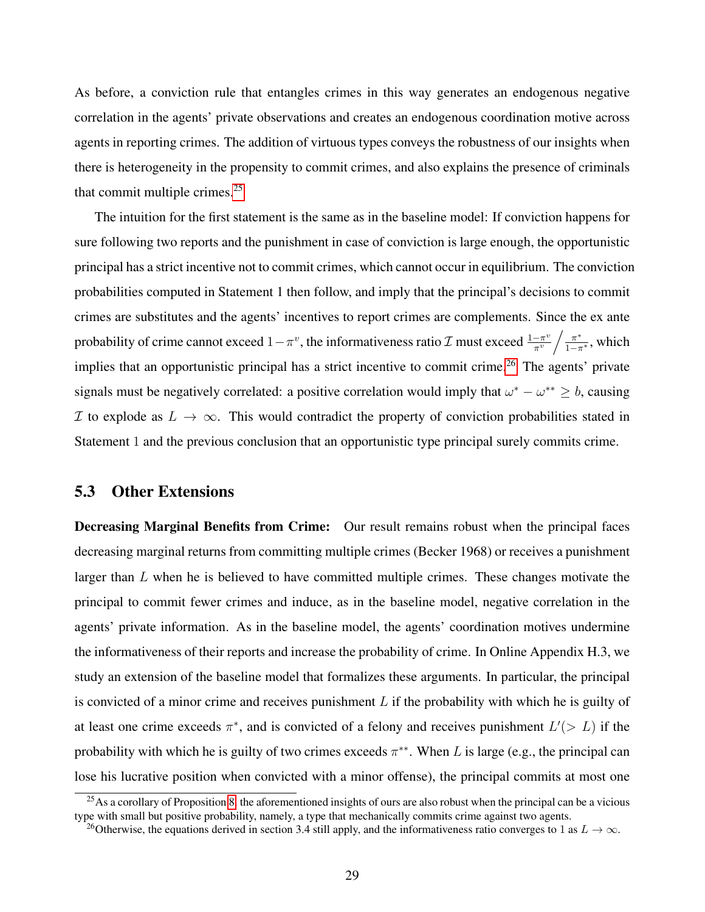As before, a conviction rule that entangles crimes in this way generates an endogenous negative correlation in the agents' private observations and creates an endogenous coordination motive across agents in reporting crimes. The addition of virtuous types conveys the robustness of our insights when there is heterogeneity in the propensity to commit crimes, and also explains the presence of criminals that commit multiple crimes. $25$ 

The intuition for the first statement is the same as in the baseline model: If conviction happens for sure following two reports and the punishment in case of conviction is large enough, the opportunistic principal has a strict incentive not to commit crimes, which cannot occur in equilibrium. The conviction probabilities computed in Statement 1 then follow, and imply that the principal's decisions to commit crimes are substitutes and the agents' incentives to report crimes are complements. Since the ex ante probability of crime cannot exceed  $1 - \pi^v$ , the informativeness ratio  $\mathcal I$  must exceed  $\frac{1 - \pi^v}{\pi^v}$  $\frac{-\pi^v}{\pi^v}\bigg / \frac{\pi^*}{1-\pi^*},$  which implies that an opportunistic principal has a strict incentive to commit crime.<sup>[26](#page-28-2)</sup> The agents' private signals must be negatively correlated: a positive correlation would imply that  $\omega^* - \omega^{**} \geq b$ , causing I to explode as  $L \to \infty$ . This would contradict the property of conviction probabilities stated in Statement 1 and the previous conclusion that an opportunistic type principal surely commits crime.

### <span id="page-28-0"></span>5.3 Other Extensions

Decreasing Marginal Benefits from Crime: Our result remains robust when the principal faces decreasing marginal returns from committing multiple crimes (Becker 1968) or receives a punishment larger than  $L$  when he is believed to have committed multiple crimes. These changes motivate the principal to commit fewer crimes and induce, as in the baseline model, negative correlation in the agents' private information. As in the baseline model, the agents' coordination motives undermine the informativeness of their reports and increase the probability of crime. In Online Appendix H.3, we study an extension of the baseline model that formalizes these arguments. In particular, the principal is convicted of a minor crime and receives punishment  $L$  if the probability with which he is guilty of at least one crime exceeds  $\pi^*$ , and is convicted of a felony and receives punishment  $L'(> L)$  if the probability with which he is guilty of two crimes exceeds  $\pi^{**}$ . When L is large (e.g., the principal can lose his lucrative position when convicted with a minor offense), the principal commits at most one

<span id="page-28-1"></span> $^{25}$ As a corollary of Proposition [8,](#page-27-0) the aforementioned insights of ours are also robust when the principal can be a vicious type with small but positive probability, namely, a type that mechanically commits crime against two agents.

<span id="page-28-2"></span><sup>&</sup>lt;sup>26</sup>Otherwise, the equations derived in section 3.4 still apply, and the informativeness ratio converges to 1 as  $L \to \infty$ .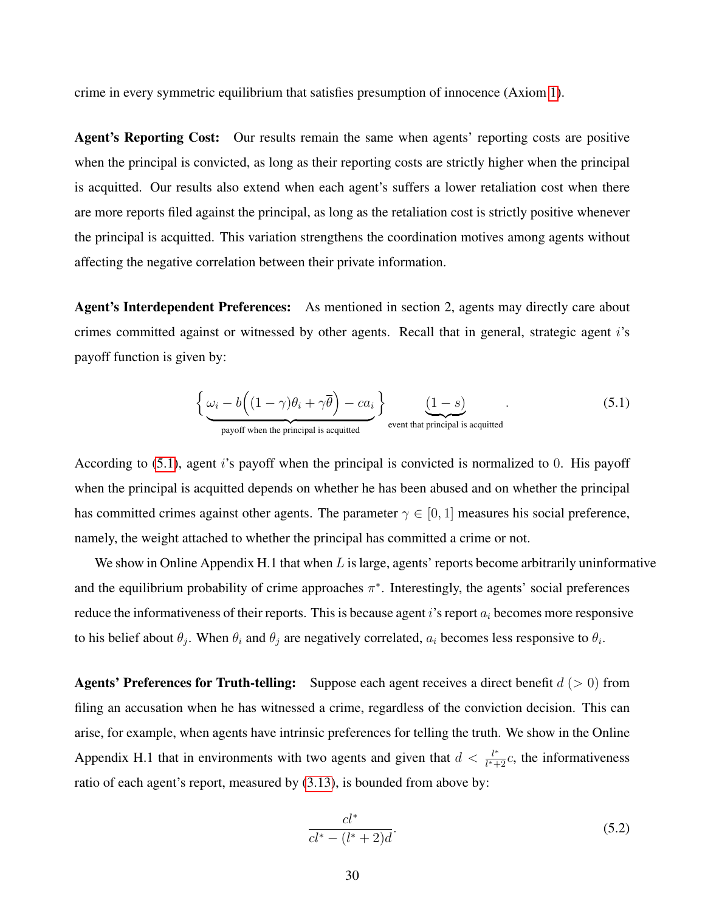crime in every symmetric equilibrium that satisfies presumption of innocence (Axiom [1\)](#page-11-2).

Agent's Reporting Cost: Our results remain the same when agents' reporting costs are positive when the principal is convicted, as long as their reporting costs are strictly higher when the principal is acquitted. Our results also extend when each agent's suffers a lower retaliation cost when there are more reports filed against the principal, as long as the retaliation cost is strictly positive whenever the principal is acquitted. This variation strengthens the coordination motives among agents without affecting the negative correlation between their private information.

Agent's Interdependent Preferences: As mentioned in section 2, agents may directly care about crimes committed against or witnessed by other agents. Recall that in general, strategic agent i's payoff function is given by:

<span id="page-29-0"></span>
$$
\left\{\underbrace{\omega_i - b\left((1-\gamma)\theta_i + \gamma\overline{\theta}\right) - ca_i}_{\text{payoff when the principal is acquired}}\right\}_{\text{event that principal is acquired}}.
$$
\n(5.1)

According to  $(5.1)$ , agent i's payoff when the principal is convicted is normalized to 0. His payoff when the principal is acquitted depends on whether he has been abused and on whether the principal has committed crimes against other agents. The parameter  $\gamma \in [0, 1]$  measures his social preference, namely, the weight attached to whether the principal has committed a crime or not.

We show in Online Appendix H.1 that when  $L$  is large, agents' reports become arbitrarily uninformative and the equilibrium probability of crime approaches  $\pi^*$ . Interestingly, the agents' social preferences reduce the informativeness of their reports. This is because agent i's report  $a_i$  becomes more responsive to his belief about  $\theta_j$ . When  $\theta_i$  and  $\theta_j$  are negatively correlated,  $a_i$  becomes less responsive to  $\theta_i$ .

**Agents' Preferences for Truth-telling:** Suppose each agent receives a direct benefit  $d (> 0)$  from filing an accusation when he has witnessed a crime, regardless of the conviction decision. This can arise, for example, when agents have intrinsic preferences for telling the truth. We show in the Online Appendix H.1 that in environments with two agents and given that  $d < \frac{l^*}{l^*+1}$  $\frac{l^*}{l^*+2}c$ , the informativeness ratio of each agent's report, measured by [\(3.13\)](#page-18-4), is bounded from above by:

$$
\frac{cl^*}{cl^* - (l^* + 2)d}.\tag{5.2}
$$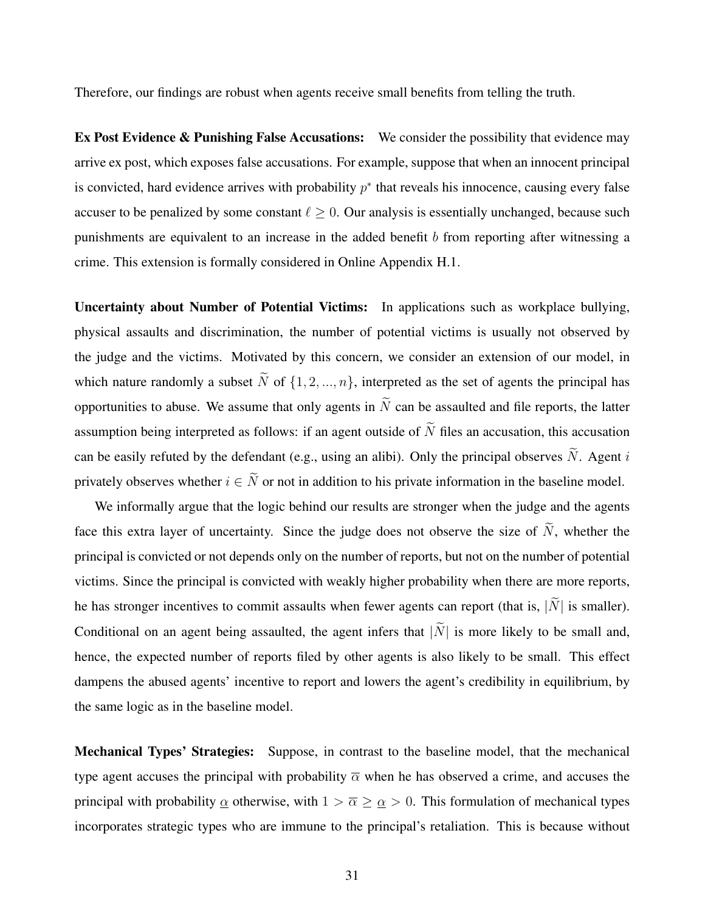Therefore, our findings are robust when agents receive small benefits from telling the truth.

**Ex Post Evidence & Punishing False Accusations:** We consider the possibility that evidence may arrive ex post, which exposes false accusations. For example, suppose that when an innocent principal is convicted, hard evidence arrives with probability  $p^*$  that reveals his innocence, causing every false accuser to be penalized by some constant  $\ell \geq 0$ . Our analysis is essentially unchanged, because such punishments are equivalent to an increase in the added benefit b from reporting after witnessing a crime. This extension is formally considered in Online Appendix H.1.

Uncertainty about Number of Potential Victims: In applications such as workplace bullying, physical assaults and discrimination, the number of potential victims is usually not observed by the judge and the victims. Motivated by this concern, we consider an extension of our model, in which nature randomly a subset  $\tilde{N}$  of  $\{1, 2, ..., n\}$ , interpreted as the set of agents the principal has opportunities to abuse. We assume that only agents in  $\widetilde{N}$  can be assaulted and file reports, the latter assumption being interpreted as follows: if an agent outside of  $\widetilde{N}$  files an accusation, this accusation can be easily refuted by the defendant (e.g., using an alibi). Only the principal observes  $\tilde{N}$ . Agent i privately observes whether  $i \in \tilde{N}$  or not in addition to his private information in the baseline model.

We informally argue that the logic behind our results are stronger when the judge and the agents face this extra layer of uncertainty. Since the judge does not observe the size of  $\tilde{N}$ , whether the principal is convicted or not depends only on the number of reports, but not on the number of potential victims. Since the principal is convicted with weakly higher probability when there are more reports, he has stronger incentives to commit assaults when fewer agents can report (that is,  $|\tilde{N}|$  is smaller). Conditional on an agent being assaulted, the agent infers that  $|\tilde{N}|$  is more likely to be small and, hence, the expected number of reports filed by other agents is also likely to be small. This effect dampens the abused agents' incentive to report and lowers the agent's credibility in equilibrium, by the same logic as in the baseline model.

Mechanical Types' Strategies: Suppose, in contrast to the baseline model, that the mechanical type agent accuses the principal with probability  $\overline{\alpha}$  when he has observed a crime, and accuses the principal with probability  $\alpha$  otherwise, with  $1 > \overline{\alpha} \ge \alpha > 0$ . This formulation of mechanical types incorporates strategic types who are immune to the principal's retaliation. This is because without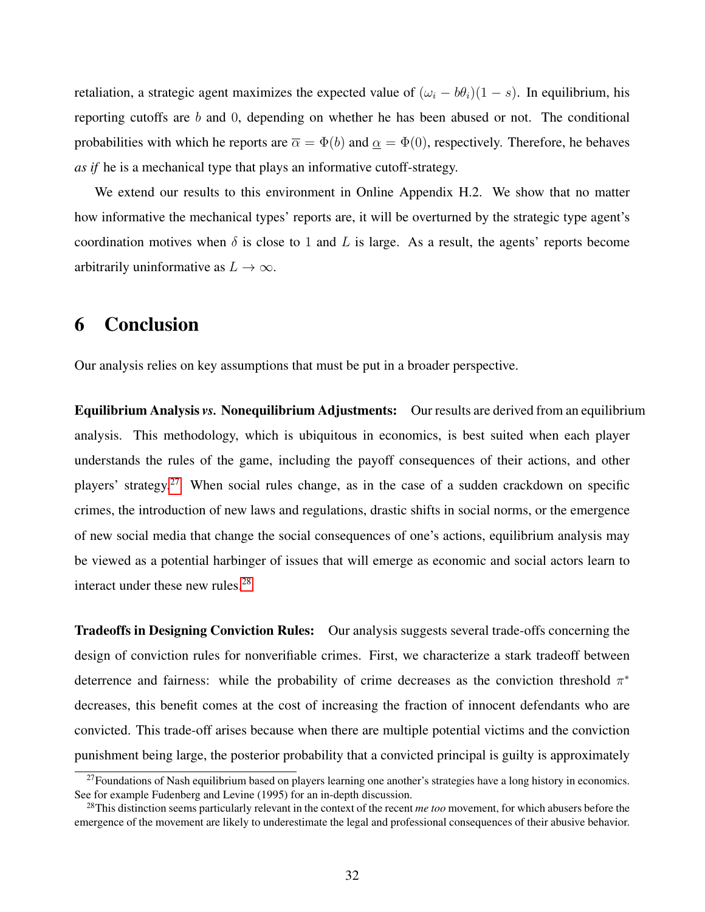retaliation, a strategic agent maximizes the expected value of  $(\omega_i - b\theta_i)(1 - s)$ . In equilibrium, his reporting cutoffs are  $b$  and  $0$ , depending on whether he has been abused or not. The conditional probabilities with which he reports are  $\bar{\alpha} = \Phi(b)$  and  $\underline{\alpha} = \Phi(0)$ , respectively. Therefore, he behaves *as if* he is a mechanical type that plays an informative cutoff-strategy.

We extend our results to this environment in Online Appendix H.2. We show that no matter how informative the mechanical types' reports are, it will be overturned by the strategic type agent's coordination motives when  $\delta$  is close to 1 and L is large. As a result, the agents' reports become arbitrarily uninformative as  $L \to \infty$ .

# <span id="page-31-0"></span>6 Conclusion

Our analysis relies on key assumptions that must be put in a broader perspective.

Equilibrium Analysis *vs.* Nonequilibrium Adjustments: Our results are derived from an equilibrium analysis. This methodology, which is ubiquitous in economics, is best suited when each player understands the rules of the game, including the payoff consequences of their actions, and other players' strategy.[27](#page-31-1) When social rules change, as in the case of a sudden crackdown on specific crimes, the introduction of new laws and regulations, drastic shifts in social norms, or the emergence of new social media that change the social consequences of one's actions, equilibrium analysis may be viewed as a potential harbinger of issues that will emerge as economic and social actors learn to interact under these new rules.<sup>[28](#page-31-2)</sup>

Tradeoffs in Designing Conviction Rules: Our analysis suggests several trade-offs concerning the design of conviction rules for nonverifiable crimes. First, we characterize a stark tradeoff between deterrence and fairness: while the probability of crime decreases as the conviction threshold  $\pi^*$ decreases, this benefit comes at the cost of increasing the fraction of innocent defendants who are convicted. This trade-off arises because when there are multiple potential victims and the conviction punishment being large, the posterior probability that a convicted principal is guilty is approximately

<span id="page-31-1"></span> $27$ Foundations of Nash equilibrium based on players learning one another's strategies have a long history in economics. See for example Fudenberg and Levine (1995) for an in-depth discussion.

<span id="page-31-2"></span><sup>28</sup>This distinction seems particularly relevant in the context of the recent *me too* movement, for which abusers before the emergence of the movement are likely to underestimate the legal and professional consequences of their abusive behavior.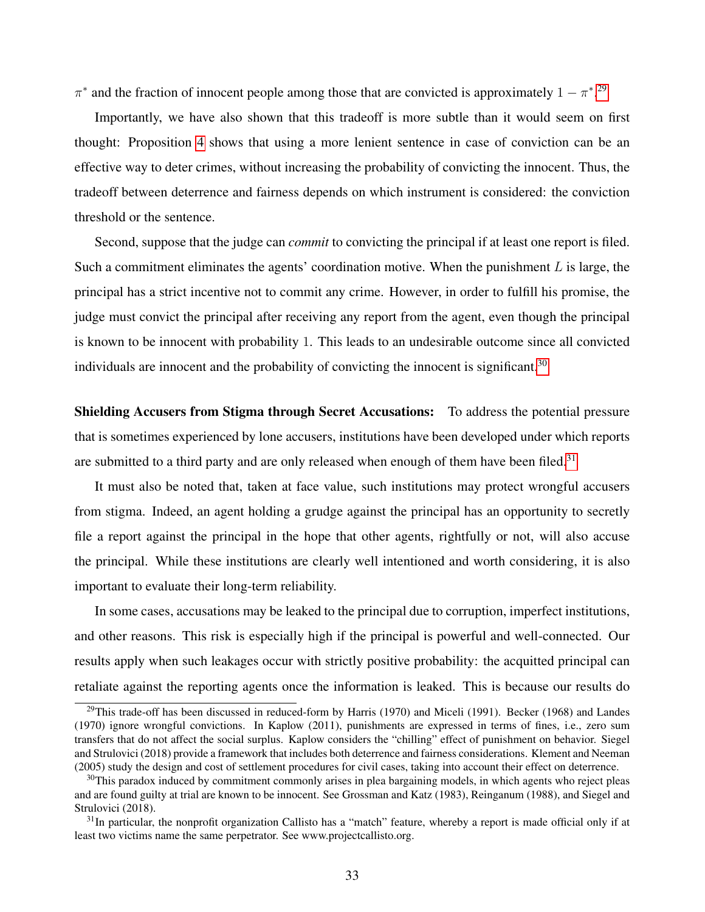$\pi^*$  and the fraction of innocent people among those that are convicted is approximately  $1 - \pi^*$ .<sup>[29](#page-32-0)</sup>

Importantly, we have also shown that this tradeoff is more subtle than it would seem on first thought: Proposition [4](#page-22-1) shows that using a more lenient sentence in case of conviction can be an effective way to deter crimes, without increasing the probability of convicting the innocent. Thus, the tradeoff between deterrence and fairness depends on which instrument is considered: the conviction threshold or the sentence.

Second, suppose that the judge can *commit* to convicting the principal if at least one report is filed. Such a commitment eliminates the agents' coordination motive. When the punishment  $L$  is large, the principal has a strict incentive not to commit any crime. However, in order to fulfill his promise, the judge must convict the principal after receiving any report from the agent, even though the principal is known to be innocent with probability 1. This leads to an undesirable outcome since all convicted individuals are innocent and the probability of convicting the innocent is significant.<sup>[30](#page-32-1)</sup>

Shielding Accusers from Stigma through Secret Accusations: To address the potential pressure that is sometimes experienced by lone accusers, institutions have been developed under which reports are submitted to a third party and are only released when enough of them have been filed.<sup>[31](#page-32-2)</sup>

It must also be noted that, taken at face value, such institutions may protect wrongful accusers from stigma. Indeed, an agent holding a grudge against the principal has an opportunity to secretly file a report against the principal in the hope that other agents, rightfully or not, will also accuse the principal. While these institutions are clearly well intentioned and worth considering, it is also important to evaluate their long-term reliability.

In some cases, accusations may be leaked to the principal due to corruption, imperfect institutions, and other reasons. This risk is especially high if the principal is powerful and well-connected. Our results apply when such leakages occur with strictly positive probability: the acquitted principal can retaliate against the reporting agents once the information is leaked. This is because our results do

<span id="page-32-0"></span><sup>&</sup>lt;sup>29</sup>This trade-off has been discussed in reduced-form by Harris (1970) and Miceli (1991). Becker (1968) and Landes (1970) ignore wrongful convictions. In Kaplow (2011), punishments are expressed in terms of fines, i.e., zero sum transfers that do not affect the social surplus. Kaplow considers the "chilling" effect of punishment on behavior. Siegel and Strulovici (2018) provide a framework that includes both deterrence and fairness considerations. Klement and Neeman (2005) study the design and cost of settlement procedures for civil cases, taking into account their effect on deterrence.

<span id="page-32-1"></span> $30$ This paradox induced by commitment commonly arises in plea bargaining models, in which agents who reject pleas and are found guilty at trial are known to be innocent. See Grossman and Katz (1983), Reinganum (1988), and Siegel and Strulovici (2018).

<span id="page-32-2"></span> $31$ In particular, the nonprofit organization Callisto has a "match" feature, whereby a report is made official only if at least two victims name the same perpetrator. See www.projectcallisto.org.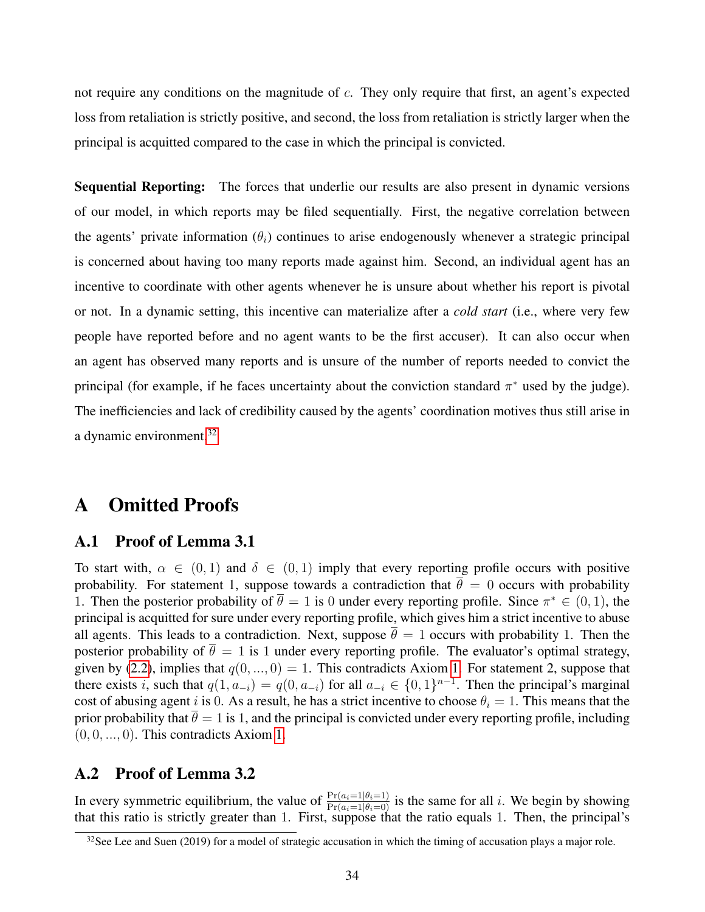not require any conditions on the magnitude of c. They only require that first, an agent's expected loss from retaliation is strictly positive, and second, the loss from retaliation is strictly larger when the principal is acquitted compared to the case in which the principal is convicted.

Sequential Reporting: The forces that underlie our results are also present in dynamic versions of our model, in which reports may be filed sequentially. First, the negative correlation between the agents' private information  $(\theta_i)$  continues to arise endogenously whenever a strategic principal is concerned about having too many reports made against him. Second, an individual agent has an incentive to coordinate with other agents whenever he is unsure about whether his report is pivotal or not. In a dynamic setting, this incentive can materialize after a *cold start* (i.e., where very few people have reported before and no agent wants to be the first accuser). It can also occur when an agent has observed many reports and is unsure of the number of reports needed to convict the principal (for example, if he faces uncertainty about the conviction standard  $\pi^*$  used by the judge). The inefficiencies and lack of credibility caused by the agents' coordination motives thus still arise in a dynamic environment.<sup>[32](#page-33-0)</sup>

### A Omitted Proofs

### A.1 Proof of Lemma 3.1

To start with,  $\alpha \in (0,1)$  and  $\delta \in (0,1)$  imply that every reporting profile occurs with positive probability. For statement 1, suppose towards a contradiction that  $\overline{\theta} = 0$  occurs with probability 1. Then the posterior probability of  $\bar{\theta} = 1$  is 0 under every reporting profile. Since  $\pi^* \in (0, 1)$ , the principal is acquitted for sure under every reporting profile, which gives him a strict incentive to abuse all agents. This leads to a contradiction. Next, suppose  $\bar{\theta} = 1$  occurs with probability 1. Then the posterior probability of  $\bar{\theta} = 1$  is 1 under every reporting profile. The evaluator's optimal strategy, given by [\(2.2\)](#page-9-2), implies that  $q(0, ..., 0) = 1$ . This contradicts Axiom [1.](#page-11-2) For statement 2, suppose that there exists i, such that  $q(1, a_{-i}) = q(0, a_{-i})$  for all  $a_{-i} \in \{0, 1\}^{n-1}$ . Then the principal's marginal cost of abusing agent i is 0. As a result, he has a strict incentive to choose  $\theta_i = 1$ . This means that the prior probability that  $\bar{\theta} = 1$  is 1, and the principal is convicted under every reporting profile, including  $(0, 0, \ldots, 0)$ . This contradicts Axiom [1.](#page-11-2)

### A.2 Proof of Lemma 3.2

In every symmetric equilibrium, the value of  $\frac{\Pr(a_i=1|\theta_i=1)}{\Pr(a_i=1|\theta_i=0)}$  is the same for all i. We begin by showing that this ratio is strictly greater than 1. First, suppose that the ratio equals 1. Then, the principal's

<span id="page-33-0"></span><sup>&</sup>lt;sup>32</sup>See Lee and Suen (2019) for a model of strategic accusation in which the timing of accusation plays a major role.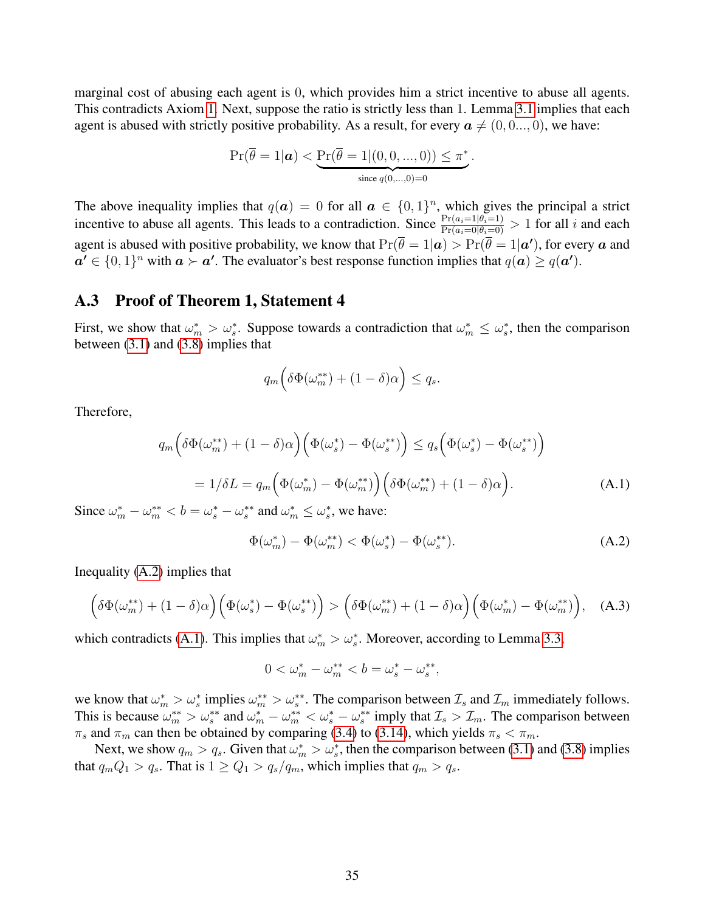marginal cost of abusing each agent is 0, which provides him a strict incentive to abuse all agents. This contradicts Axiom [1.](#page-11-2) Next, suppose the ratio is strictly less than 1. Lemma [3.1](#page-12-0) implies that each agent is abused with strictly positive probability. As a result, for every  $a \neq (0, 0, \ldots, 0)$ , we have:

$$
\Pr(\overline{\theta} = 1 | \mathbf{a}) < \underbrace{\Pr(\overline{\theta} = 1 | (0, 0, \ldots, 0))}_{\text{since } q(0, \ldots, 0) = 0} \le \pi^*.
$$

The above inequality implies that  $q(a) = 0$  for all  $a \in \{0,1\}^n$ , which gives the principal a strict incentive to abuse all agents. This leads to a contradiction. Since  $\frac{\Pr(a_i=1|\theta_i=1)}{\Pr(a_i=0|\theta_i=0)} > 1$  for all i and each agent is abused with positive probability, we know that  $Pr(\overline{\theta} = 1 | a) > Pr(\overline{\theta} = 1 | a')$ , for every  $a$  and  $a' \in \{0,1\}^n$  with  $a \succ a'$ . The evaluator's best response function implies that  $q(a) \geq q(a')$ .

#### <span id="page-34-0"></span>A.3 Proof of Theorem 1, Statement 4

First, we show that  $\omega_m^* > \omega_s^*$ . Suppose towards a contradiction that  $\omega_m^* \leq \omega_s^*$ , then the comparison between  $(3.1)$  and  $(3.8)$  implies that

$$
q_m\Big(\delta\Phi(\omega_m^{**}) + (1-\delta)\alpha\Big) \le q_s.
$$

Therefore,

<span id="page-34-2"></span>
$$
q_m\left(\delta\Phi(\omega_m^{**}) + (1-\delta)\alpha\right)\left(\Phi(\omega_s^{*}) - \Phi(\omega_s^{**})\right) \le q_s\left(\Phi(\omega_s^{*}) - \Phi(\omega_s^{**})\right)
$$

$$
= 1/\delta L = q_m\left(\Phi(\omega_m^{*}) - \Phi(\omega_m^{**})\right)\left(\delta\Phi(\omega_m^{**}) + (1-\delta)\alpha\right). \tag{A.1}
$$

Since  $\omega_m^* - \omega_m^{**} < b = \omega_s^* - \omega_s^{**}$  and  $\omega_m^* \leq \omega_s^*$ , we have:

<span id="page-34-1"></span>
$$
\Phi(\omega_m^*) - \Phi(\omega_m^{**}) < \Phi(\omega_s^*) - \Phi(\omega_s^{**}).\tag{A.2}
$$

Inequality [\(A.2\)](#page-34-1) implies that

$$
\left(\delta\Phi(\omega_m^{**}) + (1-\delta)\alpha\right)\left(\Phi(\omega_s^{*}) - \Phi(\omega_s^{**})\right) > \left(\delta\Phi(\omega_m^{**}) + (1-\delta)\alpha\right)\left(\Phi(\omega_m^{*}) - \Phi(\omega_m^{**})\right), \quad \text{(A.3)}
$$

which contradicts [\(A.1\)](#page-34-2). This implies that  $\omega_m^* > \omega_s^*$ . Moreover, according to Lemma [3.3,](#page-17-6)

$$
0 < \omega_m^* - \omega_m^{**} < b = \omega_s^* - \omega_s^{**},
$$

we know that  $\omega_m^* > \omega_s^*$  implies  $\omega_m^{**} > \omega_s^{**}$ . The comparison between  $\mathcal{I}_s$  and  $\mathcal{I}_m$  immediately follows. This is because  $\omega_m^{**} > \omega_s^{**}$  and  $\omega_m^* - \omega_m^{**} < \omega_s^* - \omega_s^{**}$  imply that  $\mathcal{I}_s > \mathcal{I}_m$ . The comparison between  $\pi_s$  and  $\pi_m$  can then be obtained by comparing [\(3.4\)](#page-13-3) to [\(3.14\)](#page-18-0), which yields  $\pi_s < \pi_m$ .

Next, we show  $q_m > q_s$ . Given that  $\omega_m^* > \omega_s^*$ , then the comparison between [\(3.1\)](#page-12-4) and [\(3.8\)](#page-17-3) implies that  $q_mQ_1 > q_s$ . That is  $1 \geq Q_1 > q_s/q_m$ , which implies that  $q_m > q_s$ .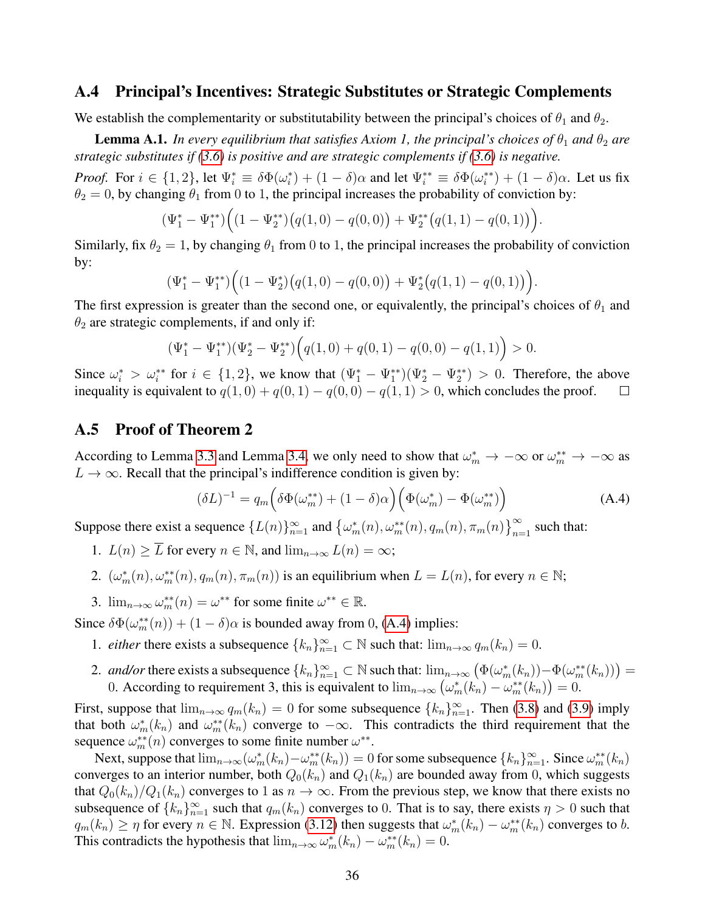#### <span id="page-35-0"></span>A.4 Principal's Incentives: Strategic Substitutes or Strategic Complements

We establish the complementarity or substitutability between the principal's choices of  $\theta_1$  and  $\theta_2$ .

<span id="page-35-2"></span>**Lemma A.1.** *In every equilibrium that satisfies Axiom 1, the principal's choices of*  $\theta_1$  *and*  $\theta_2$  *are strategic substitutes if [\(3.6\)](#page-16-0) is positive and are strategic complements if [\(3.6\)](#page-16-0) is negative.*

*Proof.* For  $i \in \{1,2\}$ , let  $\Psi_i^* \equiv \delta \Phi(\omega_i^*) + (1-\delta)\alpha$  and let  $\Psi_i^{**} \equiv \delta \Phi(\omega_i^{**}) + (1-\delta)\alpha$ . Let us fix  $\theta_2 = 0$ , by changing  $\theta_1$  from 0 to 1, the principal increases the probability of conviction by:

$$
(\Psi_1^* - \Psi_1^{**}) \Big( (1 - \Psi_2^{**}) \big( q(1,0) - q(0,0) \big) + \Psi_2^{**} \big( q(1,1) - q(0,1) \big) \Big).
$$

Similarly, fix  $\theta_2 = 1$ , by changing  $\theta_1$  from 0 to 1, the principal increases the probability of conviction by:

$$
(\Psi_1^* - \Psi_1^{**}) \Big( (1 - \Psi_2^*) \big( q(1,0) - q(0,0) \big) + \Psi_2^* \big( q(1,1) - q(0,1) \big) \Big).
$$

The first expression is greater than the second one, or equivalently, the principal's choices of  $\theta_1$  and  $\theta_2$  are strategic complements, if and only if:

$$
(\Psi_1^* - \Psi_1^{**})(\Psi_2^* - \Psi_2^{**})\Big(q(1,0) + q(0,1) - q(0,0) - q(1,1)\Big) > 0.
$$

Since  $\omega_i^* > \omega_i^{**}$  for  $i \in \{1,2\}$ , we know that  $(\Psi_1^* - \Psi_1^{**})(\Psi_2^* - \Psi_2^{**}) > 0$ . Therefore, the above inequality is equivalent to  $q(1,0) + q(0,1) - q(0,0) - q(1,1) > 0$ , which concludes the proof.  $\Box$ 

#### <span id="page-35-1"></span>A.5 Proof of Theorem 2

According to Lemma [3.3](#page-17-6) and Lemma [3.4,](#page-18-5) we only need to show that  $\omega_m^* \to -\infty$  or  $\omega_m^{**} \to -\infty$  as  $L \rightarrow \infty$ . Recall that the principal's indifference condition is given by:

<span id="page-35-3"></span>
$$
(\delta L)^{-1} = q_m \left( \delta \Phi(\omega_m^{**}) + (1 - \delta)\alpha \right) \left( \Phi(\omega_m^*) - \Phi(\omega_m^{**}) \right) \tag{A.4}
$$

Suppose there exist a sequence  $\{L(n)\}_{n=1}^{\infty}$  and  $\{\omega_m^*(n), \omega_m^{**}(n), q_m(n), \pi_m(n)\}_{n=1}^{\infty}$  such that:

- 1.  $L(n) \geq \overline{L}$  for every  $n \in \mathbb{N}$ , and  $\lim_{n \to \infty} L(n) = \infty$ ;
- 2.  $(\omega_m^*(n), \omega_m^{**}(n), q_m(n), \pi_m(n))$  is an equilibrium when  $L = L(n)$ , for every  $n \in \mathbb{N}$ ;
- 3.  $\lim_{n\to\infty} \omega_m^{**}(n) = \omega^{**}$  for some finite  $\omega^{**} \in \mathbb{R}$ .

Since  $\delta\Phi(\omega_m^{**}(n)) + (1 - \delta)\alpha$  is bounded away from 0, [\(A.4\)](#page-35-3) implies:

- 1. *either* there exists a subsequence  ${k_n}_{n=1}^{\infty} \subset \mathbb{N}$  such that:  $\lim_{n\to\infty} q_m(k_n) = 0$ .
- 2. *and/or* there exists a subsequence  ${k_n}_{n=1}^{\infty} \subset \mathbb{N}$  such that:  $\lim_{n\to\infty} (\Phi(\omega_m^*(k_n)) \Phi(\omega_m^{**}(k_n))) =$ 0. According to requirement 3, this is equivalent to  $\lim_{n\to\infty} (\omega_m^*(k_n) - \omega_m^{**}(k_n)) = 0$ .

First, suppose that  $\lim_{n\to\infty} q_m(k_n) = 0$  for some subsequence  $\{k_n\}_{n=1}^{\infty}$ . Then [\(3.8\)](#page-17-3) and [\(3.9\)](#page-17-4) imply that both  $\omega_m^*(k_n)$  and  $\omega_m^{**}(k_n)$  converge to  $-\infty$ . This contradicts the third requirement that the sequence  $\omega_m^{**}(n)$  converges to some finite number  $\omega^{**}$ .

Next, suppose that  $\lim_{n\to\infty} (\omega_m^*(k_n) - \omega_m^{**}(k_n)) = 0$  for some subsequence  $\{k_n\}_{n=1}^{\infty}$ . Since  $\omega_m^{**}(k_n)$ converges to an interior number, both  $Q_0(k_n)$  and  $Q_1(k_n)$  are bounded away from 0, which suggests that  $Q_0(k_n)/Q_1(k_n)$  converges to 1 as  $n \to \infty$ . From the previous step, we know that there exists no subsequence of  ${k_n}_{n=1}^{\infty}$  such that  $q_m(k_n)$  converges to 0. That is to say, there exists  $\eta > 0$  such that  $q_m(k_n) \geq \eta$  for every  $n \in \mathbb{N}$ . Expression [\(3.12\)](#page-17-2) then suggests that  $\omega_m^*(k_n) - \omega_m^{**}(k_n)$  converges to b. This contradicts the hypothesis that  $\lim_{n\to\infty} \omega_m^*(k_n) - \omega_m^{**}(k_n) = 0$ .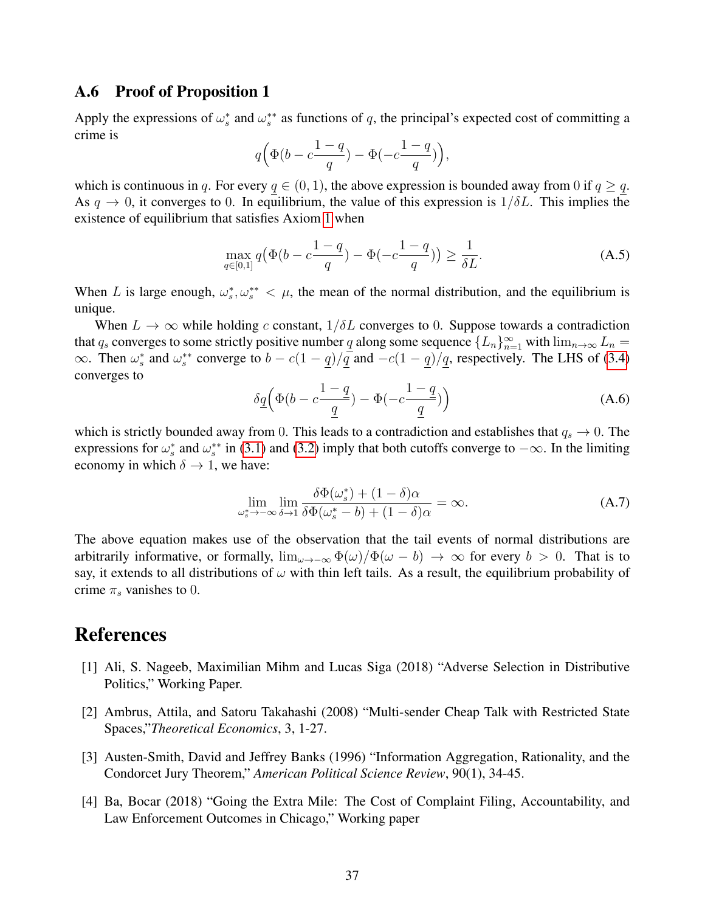#### A.6 Proof of Proposition 1

Apply the expressions of  $\omega_s^*$  and  $\omega_s^{**}$  as functions of q, the principal's expected cost of committing a crime is

$$
q\Bigl(\Phi\bigl(b-c\frac{1-q}{q}\bigr)-\Phi\bigl(-c\frac{1-q}{q}\bigr)\Bigr),
$$

which is continuous in q. For every  $q \in (0, 1)$ , the above expression is bounded away from 0 if  $q \geq q$ . As  $q \to 0$ , it converges to 0. In equilibrium, the value of this expression is  $1/\delta L$ . This implies the existence of equilibrium that satisfies Axiom [1](#page-11-2) when

$$
\max_{q \in [0,1]} q(\Phi(b - c\frac{1-q}{q}) - \Phi(-c\frac{1-q}{q})) \ge \frac{1}{\delta L}.
$$
\n(A.5)

When L is large enough,  $\omega_s^*, \omega_s^{**} < \mu$ , the mean of the normal distribution, and the equilibrium is unique.

When  $L \to \infty$  while holding c constant,  $1/\delta L$  converges to 0. Suppose towards a contradiction that  $q_s$  converges to some strictly positive number q along some sequence  $\{L_n\}_{n=1}^{\infty}$  with  $\lim_{n\to\infty} L_n =$  $\infty$ . Then  $\omega_s^*$  and  $\omega_s^{**}$  converge to  $b - c(1 - q)/q$  and  $-c(1 - q)/q$ , respectively. The LHS of [\(3.4\)](#page-13-3) converges to

$$
\delta \underline{q} \left( \Phi(b - c \frac{1 - \underline{q}}{\underline{q}}) - \Phi(-c \frac{1 - \underline{q}}{\underline{q}}) \right) \tag{A.6}
$$

which is strictly bounded away from 0. This leads to a contradiction and establishes that  $q_s \to 0$ . The expressions for  $\omega_s^*$  and  $\omega_s^{**}$  in [\(3.1\)](#page-12-4) and [\(3.2\)](#page-13-1) imply that both cutoffs converge to  $-\infty$ . In the limiting economy in which  $\delta \rightarrow 1$ , we have:

$$
\lim_{\omega_s^* \to -\infty} \lim_{\delta \to 1} \frac{\delta \Phi(\omega_s^*) + (1 - \delta)\alpha}{\delta \Phi(\omega_s^* - b) + (1 - \delta)\alpha} = \infty.
$$
 (A.7)

The above equation makes use of the observation that the tail events of normal distributions are arbitrarily informative, or formally,  $\lim_{\omega \to -\infty} \Phi(\omega)/\Phi(\omega - b) \to \infty$  for every  $b > 0$ . That is to say, it extends to all distributions of  $\omega$  with thin left tails. As a result, the equilibrium probability of crime  $\pi_s$  vanishes to 0.

# References

- [1] Ali, S. Nageeb, Maximilian Mihm and Lucas Siga (2018) "Adverse Selection in Distributive Politics," Working Paper.
- [2] Ambrus, Attila, and Satoru Takahashi (2008) "Multi-sender Cheap Talk with Restricted State Spaces,"*Theoretical Economics*, 3, 1-27.
- [3] Austen-Smith, David and Jeffrey Banks (1996) "Information Aggregation, Rationality, and the Condorcet Jury Theorem," *American Political Science Review*, 90(1), 34-45.
- [4] Ba, Bocar (2018) "Going the Extra Mile: The Cost of Complaint Filing, Accountability, and Law Enforcement Outcomes in Chicago," Working paper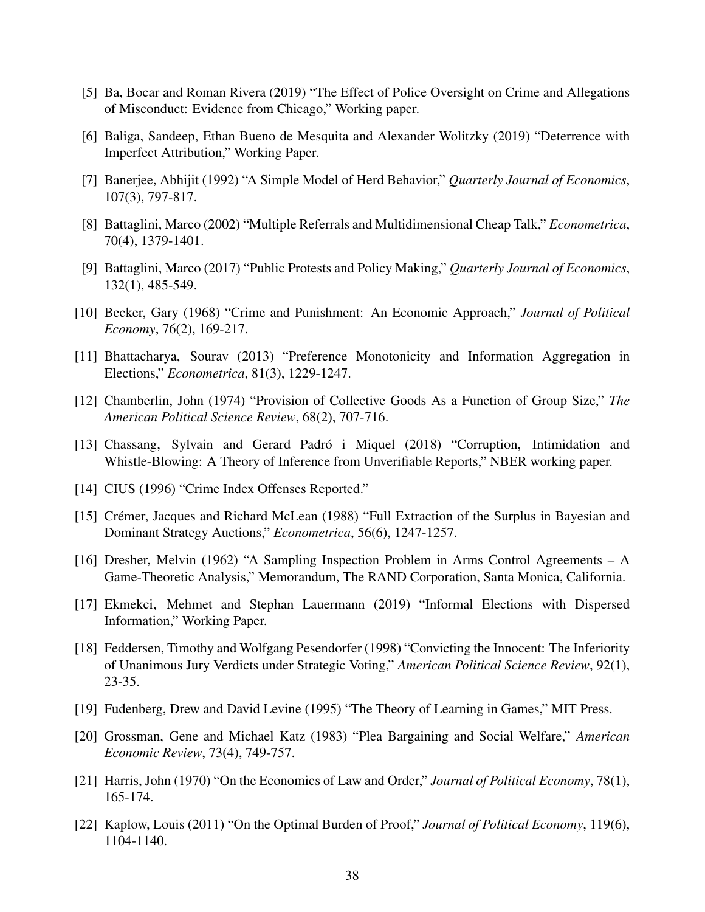- [5] Ba, Bocar and Roman Rivera (2019) "The Effect of Police Oversight on Crime and Allegations of Misconduct: Evidence from Chicago," Working paper.
- [6] Baliga, Sandeep, Ethan Bueno de Mesquita and Alexander Wolitzky (2019) "Deterrence with Imperfect Attribution," Working Paper.
- [7] Banerjee, Abhijit (1992) "A Simple Model of Herd Behavior," *Quarterly Journal of Economics*, 107(3), 797-817.
- [8] Battaglini, Marco (2002) "Multiple Referrals and Multidimensional Cheap Talk," *Econometrica*, 70(4), 1379-1401.
- [9] Battaglini, Marco (2017) "Public Protests and Policy Making," *Quarterly Journal of Economics*, 132(1), 485-549.
- [10] Becker, Gary (1968) "Crime and Punishment: An Economic Approach," *Journal of Political Economy*, 76(2), 169-217.
- [11] Bhattacharya, Sourav (2013) "Preference Monotonicity and Information Aggregation in Elections," *Econometrica*, 81(3), 1229-1247.
- [12] Chamberlin, John (1974) "Provision of Collective Goods As a Function of Group Size," *The American Political Science Review*, 68(2), 707-716.
- [13] Chassang, Sylvain and Gerard Padró i Miquel (2018) "Corruption, Intimidation and Whistle-Blowing: A Theory of Inference from Unverifiable Reports," NBER working paper.
- [14] CIUS (1996) "Crime Index Offenses Reported."
- [15] Crémer, Jacques and Richard McLean (1988) "Full Extraction of the Surplus in Bayesian and Dominant Strategy Auctions," *Econometrica*, 56(6), 1247-1257.
- [16] Dresher, Melvin (1962) "A Sampling Inspection Problem in Arms Control Agreements A Game-Theoretic Analysis," Memorandum, The RAND Corporation, Santa Monica, California.
- [17] Ekmekci, Mehmet and Stephan Lauermann (2019) "Informal Elections with Dispersed Information," Working Paper.
- [18] Feddersen, Timothy and Wolfgang Pesendorfer (1998) "Convicting the Innocent: The Inferiority of Unanimous Jury Verdicts under Strategic Voting," *American Political Science Review*, 92(1), 23-35.
- [19] Fudenberg, Drew and David Levine (1995) "The Theory of Learning in Games," MIT Press.
- [20] Grossman, Gene and Michael Katz (1983) "Plea Bargaining and Social Welfare," *American Economic Review*, 73(4), 749-757.
- [21] Harris, John (1970) "On the Economics of Law and Order," *Journal of Political Economy*, 78(1), 165-174.
- [22] Kaplow, Louis (2011) "On the Optimal Burden of Proof," *Journal of Political Economy*, 119(6), 1104-1140.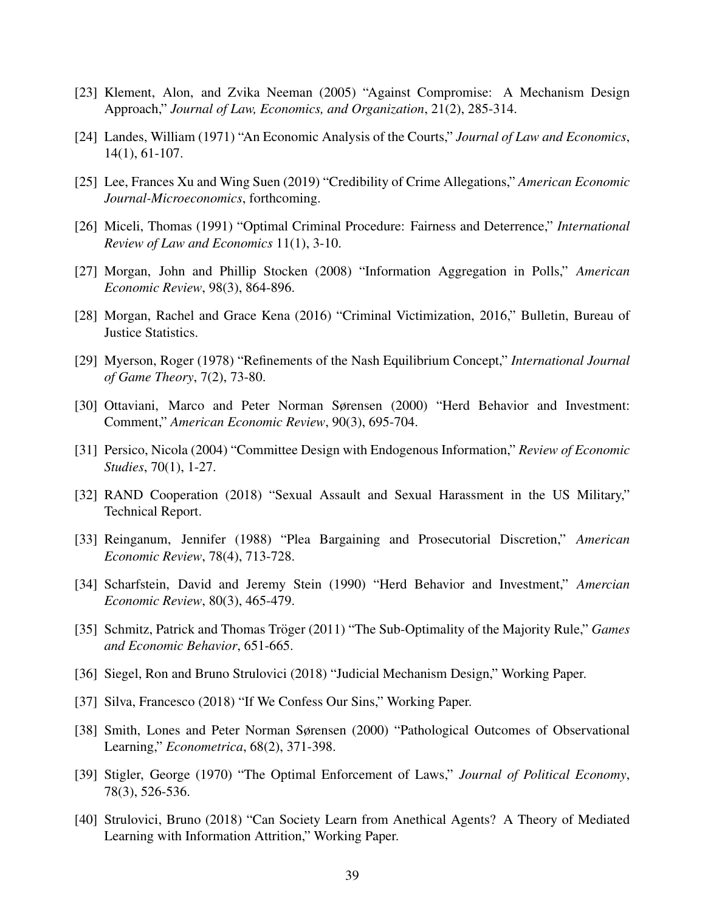- [23] Klement, Alon, and Zvika Neeman (2005) "Against Compromise: A Mechanism Design Approach," *Journal of Law, Economics, and Organization*, 21(2), 285-314.
- [24] Landes, William (1971) "An Economic Analysis of the Courts," *Journal of Law and Economics*, 14(1), 61-107.
- [25] Lee, Frances Xu and Wing Suen (2019) "Credibility of Crime Allegations," *American Economic Journal-Microeconomics*, forthcoming.
- [26] Miceli, Thomas (1991) "Optimal Criminal Procedure: Fairness and Deterrence," *International Review of Law and Economics* 11(1), 3-10.
- [27] Morgan, John and Phillip Stocken (2008) "Information Aggregation in Polls," *American Economic Review*, 98(3), 864-896.
- [28] Morgan, Rachel and Grace Kena (2016) "Criminal Victimization, 2016," Bulletin, Bureau of Justice Statistics.
- [29] Myerson, Roger (1978) "Refinements of the Nash Equilibrium Concept," *International Journal of Game Theory*, 7(2), 73-80.
- [30] Ottaviani, Marco and Peter Norman Sørensen (2000) "Herd Behavior and Investment: Comment," *American Economic Review*, 90(3), 695-704.
- [31] Persico, Nicola (2004) "Committee Design with Endogenous Information," *Review of Economic Studies*, 70(1), 1-27.
- [32] RAND Cooperation (2018) "Sexual Assault and Sexual Harassment in the US Military," Technical Report.
- [33] Reinganum, Jennifer (1988) "Plea Bargaining and Prosecutorial Discretion," *American Economic Review*, 78(4), 713-728.
- [34] Scharfstein, David and Jeremy Stein (1990) "Herd Behavior and Investment," *Amercian Economic Review*, 80(3), 465-479.
- [35] Schmitz, Patrick and Thomas Tröger (2011) "The Sub-Optimality of the Majority Rule," *Games and Economic Behavior*, 651-665.
- [36] Siegel, Ron and Bruno Strulovici (2018) "Judicial Mechanism Design," Working Paper.
- [37] Silva, Francesco (2018) "If We Confess Our Sins," Working Paper.
- [38] Smith, Lones and Peter Norman Sørensen (2000) "Pathological Outcomes of Observational Learning," *Econometrica*, 68(2), 371-398.
- [39] Stigler, George (1970) "The Optimal Enforcement of Laws," *Journal of Political Economy*, 78(3), 526-536.
- [40] Strulovici, Bruno (2018) "Can Society Learn from Anethical Agents? A Theory of Mediated Learning with Information Attrition," Working Paper.